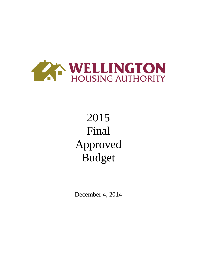

# 2015 Final Approved Budget

December 4, 2014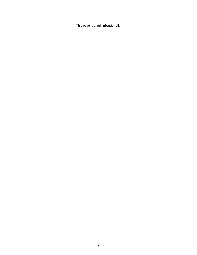This page is blank intentionally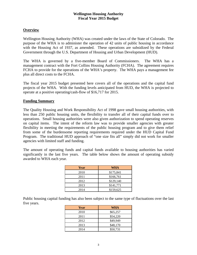#### **Overview**

Wellington Housing Authority (WHA) was created under the laws of the State of Colorado. The purpose of the WHA is to administer the operation of 42 units of public housing in accordance with the Housing Act of 1937, as amended. These operations are subsidized by the Federal Government through the U.S. Department of Housing and Urban Development (HUD).

The WHA is governed by a five-member Board of Commissioners. The WHA has a management contract with the Fort Collins Housing Authority (FCHA). The agreement requires FCHA to provide for the operations of the WHA's property. The WHA pays a management fee plus all direct costs to the FCHA.

The fiscal year 2015 budget presented here covers all of the operations and the capital fund projects of the WHA. With the funding levels anticipated from HUD, the WHA is projected to operate at a positive operating/cash-flow of \$16,717 for 2015.

#### **Funding Summary**

The Quality Housing and Work Responsibility Act of 1998 gave small housing authorities, with less than 250 public housing units, the flexibility to transfer all of their capital funds over to operations. Small housing authorities were also given authorization to spend operating reserves on capital items. The intent of the reform law was to provide smaller agencies with greater flexibility in meeting the requirements of the public housing program and to give them relief from some of the burdensome reporting requirements required under the HUD Capital Fund Program. The traditional HUD approach of "one size fits all" simply did not work for smaller agencies with limited staff and funding.

The amount of operating funds and capital funds available to housing authorities has varied significantly in the last five years. The table below shows the amount of operating subsidy awarded to WHA each year.

| Year | <b>WHA</b> |
|------|------------|
| 2010 | \$175,841  |
| 2011 | \$166,761  |
| 2012 | \$129,140  |
| 2013 | \$141,771  |
| 2014 | \$159,625  |

Public housing capital funding has also been subject to the same type of fluctuations over the last five years.

| Year | <b>WHA</b> |
|------|------------|
| 2010 | \$65,257   |
| 2011 | \$54,220   |
| 2012 | \$49,949   |
| 2013 | \$48,170   |
| 2014 | \$50,731   |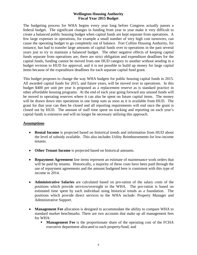The budgeting process for WHA begins every year long before Congress actually passes a federal budget. The significant changes in funding from year to year make it very difficult to create a balanced public housing budget when capital funds are kept separate from operations. A few large expenses in operations, for example a small number of very high cost turnovers, can cause the operating budget to go completely out of balance. Fort Collins Housing Authority, for instance, has had to transfer large amounts of capital funds over to operations in the past several years just to try to maintain a balanced budget. The other negative effects of keeping capital funds separate from operations are; there are strict obligation and expenditure deadlines for the capital funds, funding cannot be moved from one HUD category to another without sending in a budget revision to HUD for approval, and it is not possible to build up money for large capital items because of the expenditure deadlines for each separate capital fund grant.

This budget proposes to change the way WHA budgets for public housing capital funds in 2015. All awarded capital funds for 2015, and future years, will be moved over to operations. In this budget \$400 per unit per year is proposed as a replacement reserve as is standard practice in other affordable housing programs. At the end of each year going forward any unused funds will be moved to operating reserves where it can also be spent on future capital items. The money will be drawn down into operations in one lump sum as soon as it is available from HUD. The grant for that year can then be closed and all reporting requirements will end once the grant is closed out by HUD. The amount of staff time spent on tracking and reporting on each year's capital funds is extensive and will no longer be necessary utilizing this approach.

#### **Assumptions**

- **Rental Income** is projected based on historical trends and information from HUD about the level of subsidy available. This also includes Utility Reimbursements for low-income tenants.
- **Other Tenant Income** is projected based on historical amounts.
- **Repayment Agreement** line items represent an estimate of maintenance work orders that will be paid by tenants. Historically, a majority of these costs have been paid through the use of repayment agreements and the amount budgeted here is consistent with this type of income in 2014.
- **Administrative Salaries** are calculated based on pro-ration of the salary costs of the positions which provide services/oversight to the WHA. The pro-ration is based on estimated time spent by each individual using historical trends as a foundation. The positions which provide direct services to the WHA include: Property Manager and Administrative Support.
- **Management Fee** allocation is designed to accommodate the ability to compare WHA to standard market benchmarks. There are two accounts that make up all management fees for WHA:
	- **Management Fee** is the proportionate share of the operating cost of the FCHA executive department allocated to each property/fund; and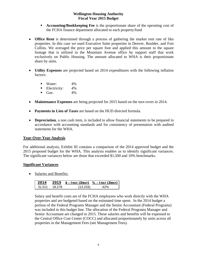- **Accounting/Bookkeeping Fee** is the proportionate share of the operating cost of the FCHA finance department allocated to each property/fund
- **Office Rent** is determined through a process of gathering the market rent rate of like properties. In this case we used Executive Suite properties in Denver, Boulder, and Fort Collins. We averaged the price per square foot and applied this amount to the square footage that is utilized in the Mountain Avenue office by support staff that work exclusively on Public Housing. The amount allocated to WHA is their proportionate share by units.
- **Utility Expenses** are projected based on 2014 expenditures with the following inflation factors:
	- Water: 4%
	- Electricity: 4%
	- Gas:  $4\%$
- **Maintenance Expenses** are being projected for 2015 based on the turn overs in 2014.
- **Payments in Lieu of Taxes** are based on the HUD directed formula.
- **Depreciation**, a non cash item, is included to allow financial statements to be prepared in accordance with accounting standards and for consistency of presentation with audited statements for the WHA.

#### **Year-Over-Year Analysis**

For additional analysis, Exhibit III contains a comparison of the 2014 approved budget and the 2015 proposed budget for the WHA. This analysis enables us to identify significant variances. The significant variances below are those that exceeded \$1,500 and 10% benchmarks.

#### **Significant Variances**

• Salaries and Benefits:

| 2014       |          |          | <u> 2015   \$ - Incr (Decr)   % - Incr (Decr)  </u> |
|------------|----------|----------|-----------------------------------------------------|
| - 31.511 ⊧ | . 18.278 | (13,233) | -42%                                                |

Salary and benefit costs are of the FCHA employees who work directly with the WHA properties and are budgeted based on the estimated time spent. In the 2014 budget a portion of the Federal Programs Manager and the Senior Accountant (Federal Programs) was included in this budget line. The allocation of the Federal Programs Manager and Senior Accountant are changed in 2015. These salaries and benefits will be expensed to the Central Office Cost Center (COCC) and allocated proportionately by units across all properties in the Management Fees (see Management Fees).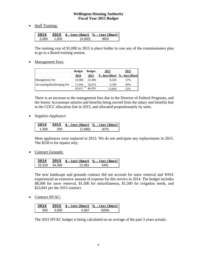**Staff Training:** 

|             |         |         | <u>2014   2015   \$ - Incr (Decr)   % - Incr (Decr)  </u> |
|-------------|---------|---------|-----------------------------------------------------------|
| $5.000 \pm$ | - 1.000 | (4,000) | -80%                                                      |

The training cost of \$1,000 in 2015 is place holder in case any of the commissioners plan to go to a Board training session.

• Management Fees:

|                            | <b>Budget</b> | <b>Budget</b> | <u>2015</u>       | <u>2015</u>        |
|----------------------------|---------------|---------------|-------------------|--------------------|
|                            | <u>2014</u>   | <u>2015</u>   | $\$ - Incr (Decr) | $\%$ - Incr (Decr) |
| Management Fee             | 14,968        | 23,496        | 8.528             | 57%                |
| Accounting/Bookkeeping Fee | 11.644        | 16,974        | 5,330             | 46%                |
|                            | 26,612        | 40,470        | 13,858            | 52%                |

There is an increase to the management fees due to the Director of Federal Programs, and the Senior Accountant salaries and benefits being moved from the salary and benefits line to the COCC allocation line in 2015, and allocated proportionately by units.

• Supplies-Appliance:

| 2014  |      |         | $\frac{2015}{5}$ $\frac{1}{201}$ |
|-------|------|---------|----------------------------------|
| 1.930 | 250. | (1.680) |                                  |

Most appliances were replaced in 2013. We do not anticipate any replacements in 2015. The \$250 is for repairs only.

• Contract Grounds:

| 2014 l |               |        | 2015   $\frac{1}{2}$ - Incr (Decr)   % - Incr (Decr) |
|--------|---------------|--------|------------------------------------------------------|
|        | 22.219 34.300 | 12.081 | 54%                                                  |

The new landscape and grounds contract did not account for snow removal and WHA experienced an extensive amount of expense for this service in 2014. The budget includes \$8,500 for snow removal, \$1,500 for miscellaneous, \$1,500 for irrigation needs, and \$22,841 per the 2015 contract.

• Contract HVAC:

| 2014 |           |       | $2015$   \$ - Incr (Decr)   % - Incr (Decr) |
|------|-----------|-------|---------------------------------------------|
|      | - 3.500 - | 2.667 | -320%                                       |

The 2015 HVAC budget is being calculated on an average of the past 3 years actuals.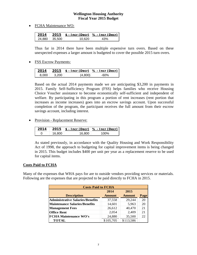FCHA Maintenance WO:

|               |            | <u>2014   2015   \$ - Incr (Decr)   % - Incr (Decr)  </u> |
|---------------|------------|-----------------------------------------------------------|
| 24.880 35.500 | $10.620$ . | 43%                                                       |

Thus far in 2014 there have been multiple expensive turn overs. Based on these unexpected expenses a larger amount is budgeted to cover the possible 2015 turn overs.

• FSS Escrow Payments:

| 2014  |           |         | $2015$ \$ - Incr (Decr) % - Incr (Decr) |
|-------|-----------|---------|-----------------------------------------|
| 8.000 | - 3.200 - | (4,800) | -60%                                    |

Based on the actual 2014 payments made we are anticipating \$3,200 in payments in 2015. Family Self-Sufficiency Program (FSS) helps families who receive Housing Choice Voucher assistance to become economically self-sufficient and independent of welfare. By participating in this program a portion of rent increases (rent portion that increases as income increases) goes into an escrow savings account. Upon successful completion of the program, the participant receives the full amount from their escrow savings account, including interest.

• Provision - Replacement Reserve:

| 2014 |        |        | $2015$   \$ - Incr (Decr)   % - Incr (Decr) |
|------|--------|--------|---------------------------------------------|
|      | 16.800 | 16.800 | 100%                                        |

As stated previously, in accordance with the Quality Housing and Work Responsibility Act of 1998, the approach to budgeting for capital improvement items is being changed in 2015. This budget includes \$400 per unit per year as a replacement reserve to be used for capital items.

#### **Costs Paid to FCHA**

Many of the expenses that WHA pays for are to outside vendors providing services or materials. Following are the expenses that are projected to be paid directly to FCHA in 2015.

| <b>Costs Paid to FCHA</b>               |               |               |      |  |
|-----------------------------------------|---------------|---------------|------|--|
| 2014<br>2015                            |               |               |      |  |
| <b>Description</b>                      | <b>Amount</b> | <b>Amount</b> | Page |  |
| <b>Administrative Salaries/Benefits</b> | 37,558        | 29,244        | 20   |  |
| Maintenance Salaries/Benefits           | 14,601        | 5,963         | 20   |  |
| <b>Management Fees</b>                  | 26,612        | 40,470        | 21   |  |
| <b>Office Rent</b>                      | 2,054         | 2,409         | 21   |  |
| <b>FCHA Maintenance WO's</b>            | 24,880        | 35,500        | 22   |  |
| <b>TOTAL</b>                            | \$105,705     | \$113,586     |      |  |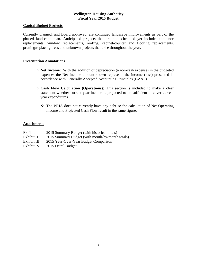#### **Capital Budget Projects**

Currently planned, and Board approved, are continued landscape improvements as part of the phased landscape plan. Anticipated projects that are not scheduled yet include: appliance replacements, window replacements, roofing, cabinet/counter and flooring replacements, pruning/replacing trees and unknown projects that arise throughout the year.

#### **Presentation Annotations**

- $\Rightarrow$  **Net Income:** With the addition of depreciation (a non-cash expense) in the budgeted expenses the Net Income amount shown represents the income (loss) presented in accordance with Generally Accepted Accounting Principles (GAAP).
- $\Rightarrow$  **Cash Flow Calculation (Operations):** This section is included to make a clear statement whether current year income is projected to be sufficient to cover current year expenditures.
	- The WHA does not currently have any debt so the calculation of Net Operating Income and Projected Cash Flow result in the same figure.

#### **Attachments**

| Exhibit I   | 2015 Summary Budget (with historical totals)     |
|-------------|--------------------------------------------------|
| Exhibit II  | 2015 Summary Budget (with month-by-month totals) |
| Exhibit III | 2015 Year-Over-Year Budget Comparison            |
| Exhibit IV  | 2015 Detail Budget                               |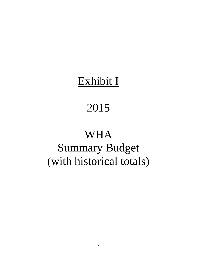## Exhibit I

### 2015

# WHA Summary Budget (with historical totals)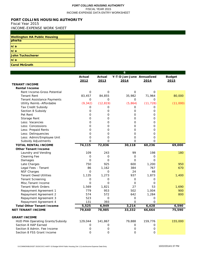#### *FORT COLLINS HOUSING AUTHORITY*

Fiscal Year 2015

INCOME-EXPENSE WORK SHEET

| <b>Wellington HA Public Housing</b> |
|-------------------------------------|
| phwha                               |
| n/a                                 |
| n/a                                 |
| John Tuchscherer                    |
| ln/a                                |
| <b>Carol McGrath</b>                |

|                                  |                |                | 6                         |                     |               |
|----------------------------------|----------------|----------------|---------------------------|---------------------|---------------|
|                                  | Actual         | Actual         | Y-T-D Jan-June Annualized |                     | <b>Budget</b> |
|                                  | 2012           | 2013           | 2014                      | 2014                | 2015          |
| <b>TENANT INCOME</b>             |                |                |                           |                     |               |
| <b>Rental Income</b>             |                |                |                           |                     |               |
| Rent Income-Gross Potential      | $\Omega$       | $\Omega$       | $\Omega$                  | $\Omega$            |               |
| <b>Tenant Rent</b>               | 83,457         | 84,855         | 35,982                    | 71,964              | 80,000        |
| Tenant Assistance Payments       | $\Omega$       | O              | 0                         | O                   |               |
| Utility Reimb.-Affordable        | (9, 342)       | (12, 819)      | (5,864)                   | (11, 728)           | (11,000)      |
| Tax Credit Subsidy               | 0              | 0              | 0                         | 0                   |               |
| Section 8 Subsidy                | $\mathbf 0$    | $\Omega$       | 0                         | $\Omega$            |               |
| Pet Rent                         | 0              | 0              | $\Omega$                  | $\mathbf 0$         |               |
| Storage Rent                     | $\Omega$       | 0              | $\Omega$                  | $\mathbf 0$         |               |
| Less: Vacancies                  | $\mathbf 0$    | 0              | 0                         | $\mathbf{O}$        |               |
| Less: Concessions                | $\Omega$       | $\Omega$       | $\Omega$                  | $\Omega$            |               |
| Less: Prepaid Rents              | $\overline{0}$ | 0              | 0                         | $\Omega$            |               |
| Less: Delinquencies              | 0              | 0              | 0                         | 0                   |               |
| Less: Admin/Employee Unit        | $\mathbf 0$    | 0              | $\Omega$                  | $\mathsf{O}\xspace$ |               |
| Subsidy Adjustments              | 0              | $\Omega$       | $\Omega$                  | $\Omega$            |               |
| <b>TOTAL RENTAL INCOME</b>       | 74,115         | 72,036         | 30,118                    | 60,236              | 69,000        |
| <b>Other Tenant Income</b>       |                |                |                           |                     |               |
| Laundry and Vending              | 109            | 243            | 99                        | 198                 | 180           |
| <b>Cleaning Fee</b>              | 0              | $\Omega$       | 0                         | $\Omega$            |               |
| Damages                          | $\Omega$       | 0              | $\Omega$                  | $\mathbf 0$         |               |
| Late Charges                     | 750            | 925            | 600                       | 1,200               | 950           |
| Legal Fees - Tenant              | 86             | 1,162          | 384                       | 767                 | 670           |
| <b>NSF Charges</b>               | $\Omega$       | O              | 24                        | 48                  |               |
| <b>Tenant Owed Utilities</b>     | 1,135          | 1,273          | 937                       | 1,873               | 1,400         |
| <b>Tenant Screening</b>          | $\mathbf 0$    | 0              | 0                         | 0                   |               |
| Misc. Tenant Income              | $\Omega$       | $\Omega$       | 0                         | $\mathbf 0$         |               |
| Tenant Work Orders               | 1,569          | 1,821          | 27                        | 53                  | 1,690         |
| Repayment Agreement 1            | 779            | 953            | 502                       | 1,004               | 900           |
| Repayment Agreement 2            | 574            | 572            | 642                       | 1,284               | 800           |
| Repayment Agreement 3            | 523            | 0              | 0                         | $\mathbf 0$         |               |
| Repayment Agreement 4            | 131            | 393            | 0                         | $\mathbf 0$         |               |
| <b>Total Other Tenant Income</b> | 5,525          | 6,949          | 3,214                     | 6,428               | 6,590         |
| <b>NET TENANT INCOME</b>         | 79,640         | 78,985         | 33,332                    | 66,664              | 75,590        |
| <b>GRANT INCOME</b>              |                |                |                           |                     |               |
| HUD PHA Operating Grants/Subsidy | 129,044        | 141,867        | 79,888                    | 159,776             | 155,000       |
| Section 8 HAP Earned             | $\Omega$       | 0              | $\Omega$                  | $\mathbf 0$         |               |
| Section 8 Admin. Fee Income      | 0              | 0              | O                         | O                   |               |
| Section 8 FSS Grant Income       | $\mathbf 0$    | $\overline{O}$ | 0                         | $\mathbf 0$         |               |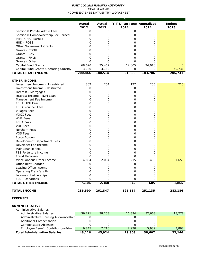|                                       |                     |         | 6                         |                     |               |
|---------------------------------------|---------------------|---------|---------------------------|---------------------|---------------|
|                                       | Actual              | Actual  | Y-T-D Jan-June Annualized |                     | <b>Budget</b> |
|                                       | 2012                | 2013    | 2014                      | 2014                | 2015          |
| Section 8 Port-In Admin Fees          | 0                   | 0       | 0                         | 0                   |               |
| Section 8 Homeownership Fee Earned    | 0                   | 0       | 0                         | 0                   |               |
| Port In HAP Earned                    | O                   | 0       | 0                         | 0                   |               |
| HUD - ROSS                            | O                   | 0       | 0                         | 0                   |               |
| <b>Other Government Grants</b>        | 0                   | 0       | 0                         | 0                   |               |
| Grants - CDOH                         | 0                   | 0       | 0                         | 0                   |               |
| Grants - City                         | 0                   | 0       | 0                         | 0                   |               |
| Grants - FHLB                         | 0                   | 0       | 0                         | 0                   |               |
| Grants - Other                        | 0                   | 0       | 0                         | 0                   |               |
| Capital Fund Grants                   | 68,620              | 35,467  | 12,005                    | 24,010              | O             |
| Capital Fund Grants-Operating Subsidy | 3,180               | 3,180   | 0                         | 0                   | 50,731        |
| <b>TOTAL GRANT INCOME</b>             | 200,844             | 180,514 | 91,893                    | 183,786             | 205,731       |
|                                       |                     |         |                           |                     |               |
| <b>OTHER INCOME</b>                   |                     |         |                           |                     |               |
| Investment Income - Unrestricted      | 302                 | 254     | 127                       | 255                 | 215           |
| Investment Income - Restricted        | 0                   | 0       | 0                         | 0                   |               |
| Interest - Mortgages                  | 0                   | 0       | 0                         | 0                   |               |
| Interest Income - N2N Loan            | 0                   | 0       | 0                         | 0                   |               |
| Management Fee Income                 | 0                   | 0       | 0                         | 0                   |               |
| <b>FCHA LIPH Fees</b>                 | 0                   | 0       | 0                         | 0                   |               |
| FCHA Voucher Fees                     | 0                   | 0       | 0                         | 0                   |               |
| <b>Villages Fees</b>                  | 0                   | 0       | 0                         | 0                   |               |
| <b>VOCC Fees</b>                      | 0                   | 0       | 0                         | 0                   |               |
| <b>WHA Fees</b>                       | 0                   | 0       | 0                         | 0                   |               |
| <b>LCHA Fees</b>                      | 0                   | 0       | 0                         | 0                   |               |
| <b>VOE Fees</b>                       | 0                   | 0       | 0                         | 0                   |               |
| Northern Fees                         | 0                   | 0       | 0                         | 0                   |               |
| VOS Fees                              | O                   | 0       | 0                         | 0                   |               |
| Force Account                         | O                   | 0       | 0                         | 0                   |               |
| Development Department Fees           | 0                   | 0       | 0                         | 0                   |               |
| Developer Fee Income                  | O                   | 0       | 0                         | 0                   |               |
| Maintenance Fees                      | O                   | 0       | 0                         | 0                   |               |
| <b>FSS Forteiture Income</b>          | O                   | 0       | 0                         | 0                   |               |
| Fraud Recovery                        | $\Omega$            | 0       | 0                         | 0                   |               |
| Miscellaneous Other Income            | 4,804               | 2,094   | 215                       | 430                 | 1,650         |
| Office Rent Charged                   | $\mathsf{O}\xspace$ | 0       | 0                         | $\mathsf{O}\xspace$ |               |
| Leasing Office Income                 | 0                   | 0       | 0                         | 0                   |               |
| <b>Operating Transfers IN</b>         | 0                   | 0       | 0                         | 0                   |               |
| Income - Partnerships                 | 0                   | 0       | 0                         | 0                   |               |
| FSS - Donations                       | 0                   | 0       | 0                         | 0                   |               |
| <b>TOTAL OTHER INCOME</b>             | 5,106               | 2,348   | 342                       | 685                 | 1,865         |
| <b>TOTAL INCOME</b>                   | 285,590             | 261,847 | 125,567                   | 251,135             | 283,186       |
| <b>EXPENSES</b>                       |                     |         |                           |                     |               |
| <b>ADMINISTRATIVE</b>                 |                     |         |                           |                     |               |
| <b>Administrative Salaries</b>        |                     |         |                           |                     |               |
| <b>Administrative Salaries</b>        | 36,271              | 38,208  | 16,334                    | 32,668              | 18,278        |
| Administrative Housing AllowanceUnit  | 0                   | 0       | 0                         | 0                   |               |
| Additional Compensation               | 0                   | 0       | 0                         | 0                   |               |
| <b>Compensated Absences</b>           | 0                   | 0       | 0                         | 0                   |               |
| Employee Benefit Contribution-Admin   | 6,845               | 7,716   | 2,970                     | 5,939               | 3,868         |

 **Total Administrative Salaries 43,116 45,924 19,303 38,607 22,146**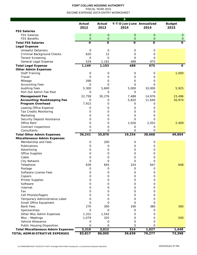**6**

|                                           | Actual         | Actual         | Y-T-D Jan-June Annualized |             | <b>Budget</b> |
|-------------------------------------------|----------------|----------------|---------------------------|-------------|---------------|
|                                           | 2012           | 2013           | 2014                      | 2014        | 2015          |
| <b>FSS Salaries</b>                       |                |                |                           |             |               |
| <b>FSS Salaries</b>                       | $\mathbf 0$    | $\mathbf 0$    | $\mathbf 0$               | $\mathbf 0$ | $\mathbf{O}$  |
| <b>FSS Benefits</b>                       | $\overline{O}$ | $\overline{O}$ | $\overline{0}$            | $\Omega$    | $\mathbf{O}$  |
| <b>Total FSS Salaries</b>                 | $\Omega$       | $\mathbf o$    | $\mathbf{o}$              | $\Omega$    | $\mathbf 0$   |
| <b>Legal Expense</b>                      |                |                |                           |             |               |
| <b>Unlawful Detainers</b>                 | 0              | 0              | 0                         | 0           |               |
| Criminal Background Checks                | 620            | 12             | 0                         | 0           |               |
| <b>Tenant Screening</b>                   | 0              | $\Omega$       | $\Omega$                  | 0           |               |
| General Legal Expense                     | 529            | 1,181          | 488                       | 975         |               |
| <b>Total Legal Expense</b>                | 1,149          | 1,193          | 488                       | 975         | 0             |
| <b>Other Admin Expenses</b>               |                |                |                           |             |               |
| <b>Staff Training</b>                     | 0              | 0              | 0                         | $\mathbf 0$ | 1,000         |
| Travel                                    | 0              | 0              | 0                         | 0           |               |
| Mileage                                   | 268            | 0              | 0                         | 0           |               |
| <b>Accounting Fees</b>                    | 0              | O              | 0                         | $\Omega$    |               |
| <b>Auditing Fees</b>                      | 5,300          | 5,600          | 5,000                     | 10,000      | 5,925         |
| Port Out Admin Fee Paid                   | $\Omega$       | O              | 0                         | $\mathbf 0$ |               |
| <b>Management Fee</b>                     | 22,758         | 30,276         | 7,488                     | 14,976      | 23,496        |
| <b>Accounting/Bookkeeping Fee</b>         | O              | 0              | 5,820                     | 11,640      | 16,974        |
| <b>Program Overhead</b>                   | 7,915          | O              | 0                         | $\Omega$    |               |
| Leasing Office Expense                    | 0              | 0              | 0                         | 0           |               |
| Tax Credits Monitoring                    | O              | 0              | $\Omega$                  | 0           |               |
| Marketing                                 | Ο              | 0              | 0                         | 0           |               |
| Security Deposit Assistance               | O              | O              | $\Omega$                  | $\Omega$    |               |
| <b>Office Rent</b>                        | O              | 0              | 1,026                     | 2,052       | 2,409         |
| <b>Contract Inspections</b>               | 0              | 0              | 0                         | 0           |               |
| Consultants                               | $\Omega$       | O              | O                         | $\Omega$    |               |
| <b>Total Other Admin Expenses</b>         | 36,241         | 35,876         | 19,334                    | 38,668      | 49,804        |
| <b>Miscellaneous Admin Expenses</b>       |                |                |                           |             |               |
| Membership and Fees                       | 0              | 200            | 0                         | $\mathbf 0$ |               |
| Publications                              | 0              | 0              | 0                         | 0           |               |
| Advertising                               | 0              | 0              | 0                         | 0           |               |
| Office Supplies                           | O              | 0              | 0                         | 0           |               |
| Cable                                     | O              | 0              | 0                         | 0           |               |
| <b>City Network</b>                       | 0              | $\Omega$       | $\Omega$                  | 0           |               |
| Telephone                                 | 639            | 645            | 324                       | 647         | 648           |
| Postage                                   | 0              | 0              | 0                         | $\mathbf 0$ |               |
| Software License Fees                     | 0              | 0              | 0                         | 0           |               |
| Copiers                                   | 0              | 0              | 0                         | 0           |               |
| Printer Supplies                          | 0              | 0              | 0                         | 0           |               |
| Software                                  | 0              | 0              | 0                         | 0           |               |
| Internet                                  | 0              | 0              | 0                         | 0           |               |
| Fax                                       | 0              | 0              | 0                         | 0           |               |
| Cell Phones/Pagers                        | 0              | 0              | 0                         | 0           |               |
| Temporary Administrative Labor            | 0              | 0              | 0                         | 0           |               |
| Small Office Equipment                    | O              | O              | $\Omega$                  | $\Omega$    |               |
| <b>Bank Fees</b>                          | 270            | 300            | 190                       | 380         | 300           |
| Sponsorships                              | 0              | $\Omega$       | 0                         | 0           |               |
| Other Misc Admin Expenses                 | 1,322          | 1,542          | 0                         | 0           |               |
| Misc - Meetings                           | 1,079          | 325            | 0                         | 0           | 500           |
| Vehicle Allowance                         | 0              | 0              | 0                         | 0           |               |
| Public Housing Disposition                | $\mathbf 0$    | 0              | 0                         | 0           |               |
| <b>Total Miscellaneous Admin Expenses</b> | 3,310          | 3,012          | 514                       | 1,027       | 1,448         |
| TOTAL ADMINISTRATIVE EXPENSES             | 83,817         | 86,005         | 39,639                    | 79,277      | 73,398        |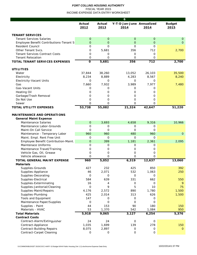|                                                 | Actual                  | Actual         | Y-T-D Jan-June Annualized |                  | <b>Budget</b> |
|-------------------------------------------------|-------------------------|----------------|---------------------------|------------------|---------------|
|                                                 | 2012                    | 2013           | 2014                      | 2014             | 2015          |
|                                                 |                         |                |                           |                  |               |
| <b>TENANT SERVICES</b>                          |                         |                |                           |                  |               |
| <b>Tenant Services Salaries</b>                 | $\mathbf{O}$            | $\overline{0}$ | $\mathbf{O}$              | $\mathbf{O}$     | $\mathbf{O}$  |
| Employee Benefit Contributions-Tenant S         | $\Omega$                | $\overline{O}$ | $\Omega$                  | $\overline{O}$   | $\Omega$      |
| <b>Resident Council</b>                         | O                       | $\Omega$       | $\Omega$                  | $\Omega$         |               |
| Other Tenant Sycs.                              | 0                       | 5,681          | 356                       | 712              | 2,700         |
| <b>Tenant Services Contract Costs</b>           | O                       | 0              | 0                         | 0                |               |
| <b>Tenant Relocation</b>                        | 0                       | $\Omega$       | 0                         | 0                |               |
| <b>TOTAL TENANT SERVICES EXPENSES</b>           | $\overline{\mathbf{o}}$ | 5,681          | 356                       | $\overline{712}$ | 2,700         |
|                                                 |                         |                |                           |                  |               |
| <b>UTILITIES</b>                                |                         |                |                           |                  |               |
| Water                                           | 37,844                  | 38,260         | 13,052                    | 26,103           | 35,500        |
| Electricity                                     | 8,234                   | 8,889          | 4,283                     | 8,567            | 8,240         |
| <b>Electricity-Vacant Units</b>                 | 0                       | 0              | 0                         | $\mathbf 0$      |               |
| Gas                                             | 7,660                   | 7,932          | 3,989                     | 7,977            | 7,480         |
| <b>Gas-Vacant Units</b>                         | 0                       | 0              | 0                         | 0                |               |
| <b>Heating Oil</b>                              | 0                       | 0              | 0                         | 0                |               |
| Garbage/Trash Removal                           | 0                       | 0              | 0                         | 0                |               |
| Do Not Use                                      | 0                       | 0              | 0                         | 0                |               |
| Sewer                                           | O                       | 0              | 0                         | 0                |               |
| <b>TOTAL UTILITY EXPENSES</b>                   | 53,738                  | 55,082         | 21,324                    | 42,647           | 51,220        |
| <b>MAINTENANCE AND OPERATIONS</b>               |                         |                |                           |                  |               |
| <b>General Maint Expense</b>                    |                         |                |                           |                  |               |
| Maintenance Salaries                            | $\mathbf{O}$            | 3,693          | 4,658                     | 9,316            | 10,966        |
| Maintenance Labor-Grounds                       | 0                       | 0              | 0                         | 0                |               |
| Maint-On Call Service                           | 0                       | 0              | 0                         | 0                |               |
| Maintenance - Temporary Labor                   | 960                     | 960            | 480                       | 960              | $\Omega$      |
| Maint. Empl. Rent Free Unit                     | 0                       | 0              | $\Omega$                  | 0                |               |
| Employee Benefit Contribution-Maint.            | $\Omega$                | 399            | 1,181                     | 2,361            | 2,095         |
| Maintenace Uniforms                             | 0                       | 0              | 0                         | 0                |               |
| Maintenance Travel/Training                     | 0                       | 0              | 0                         | $\mathbf 0$      |               |
| Vehicle Gas, Oil, Grease                        | 0                       | 0              | O                         | 0                |               |
| Vehicle allowance                               | 0                       | 0              | 0                         | 0                |               |
| <b>TOTAL GENERAL MAINT EXPENSE</b>              | 960                     | 5,052          | 6,319                     | 12,637           | 13,060        |
| <b>Materials</b>                                |                         |                |                           |                  |               |
| Supplies-Grounds                                | 427                     | 232            | 425                       | 850              | 392           |
| Supplies-Appliance                              | 46                      | 2,071          | 532                       | 1,063            | 250           |
| Supplies-Decorating                             | $\mathbf 0$             | 0              | 0                         | 0                |               |
| Supplies-Electrical                             | 584                     | 639            | 331                       | 662              | 550           |
| Supplies-Exterminating                          | 16                      | 4              | 0                         | $\mathbf 0$      | 9             |
| Supplies-Janitorial/Cleaning                    | $\mathbf 0$             | 9              | 5                         | 10               | 75            |
| Supplies-Maint/Repairs                          | 4,176                   | 2,572          | 890                       | 1,780            | 1,500         |
| Supplies-Plumbing                               | 425                     | 2,014          | 313                       | 626              | 1,500         |
| Tools and Equipment                             | 147                     | 0              | 0                         | 0                |               |
| Maintenance Paper/Supplies                      | $\mathbf 0$             | 0              | 0                         | $\mathbf 0$      |               |
| Supplies - Paint                                | 44                      | 153            | 90                        | 180              | 150           |
| Materials - HVAC                                | 53                      | 1,370          | 542                       | 1,084            | 950           |
|                                                 |                         |                |                           |                  |               |
| <b>Total Materials</b><br><b>Contract Costs</b> | 5,918                   | 9,065          | 3,127                     | 6,254            | 5,376         |
| Contract-Alarm/Extinguisher                     | 24                      | 24             | 0                         | $\mathbf 0$      |               |
| Contract-Appliance                              | 1,035                   | 1,699          | 139                       | 278              | 150           |
| <b>Contract-Building Repairs</b>                | 8,075                   | 2,897          | 0                         | 0                | $\mathbf{O}$  |
| Contract-Carpet Cleaning                        | $\mathbf 0$             | 0              | $\mathsf{O}\xspace$       | 0                |               |
|                                                 |                         |                |                           |                  |               |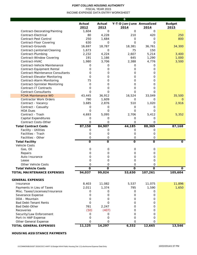|                                                        | Actual                  | Actual                  | Y-T-D Jan-June Annualized |                         | <b>Budget</b> |
|--------------------------------------------------------|-------------------------|-------------------------|---------------------------|-------------------------|---------------|
|                                                        | 2012                    | 2013                    | 2014                      | 2014                    | 2015          |
| Contract-Decorating/Painting                           | 1,604                   | $\mathsf{O}$            | $\Omega$                  | $\mathbf 0$             |               |
| Contract-Electrical                                    | 80                      | 4,228                   | 210                       | 420                     | 250           |
| Contract-Pest Control                                  | 250                     | 1,684                   | O                         | 0                       | 800           |
| Contract-Floor Covering                                | 630                     | $\Omega$                | $\overline{O}$            | $\Omega$                |               |
| Contract-Grounds                                       | 16,697                  | 18,787                  | 18,381                    | 36,761                  | 34,300        |
| Contract-Janitorial/Cleaning                           | 1,673                   | $\Omega$                | 75                        | 150                     |               |
| Contract-Plumbing                                      | 2,232                   | 4,224                   | 2,607                     | 5,214                   | 3,400         |
| Contract-Window Covering                               | 191                     | 1,166                   | 645                       | 1,290                   | 1,000         |
| Contract-HVAC                                          | 1,980                   | 3,706                   | 2,388                     | 4,776                   | 3,500         |
| Contract-Vehicle Maintenance                           | 0                       | 0                       | 0                         | 0                       |               |
| Contract-Equipment Rental                              | 0                       | $\Omega$                | 0                         | 0                       |               |
| <b>Contract-Maintenance Consultants</b>                | $\Omega$                | $\Omega$                | 0                         | 0                       |               |
| Contract-Elevator Monitoring                           | $\Omega$                | $\Omega$                | 0                         | 0                       |               |
| Contract-Alarm Monitoring                              | 75                      | 0                       | 0                         | 0                       |               |
| <b>Contract-Sprinkler Monitoring</b>                   | 0                       | 0                       | $\Omega$                  | 0                       |               |
| Contract-IT Contracts                                  | $\Omega$                | O                       | $\Omega$                  | 0                       |               |
| <b>Contract-Consultants</b>                            | 0                       | 0                       | $\Omega$                  | 0                       |               |
| <b>FCHA Maintenance WO</b>                             | 43,445                  | 36,912                  | 16,524                    | 33,049                  | 35,500        |
| <b>Contractor Work Orders</b>                          | 790                     | 1,609                   | 0                         | 0                       | $\mathbf 0$   |
|                                                        | 3,685                   |                         | 510                       | 1,020                   |               |
| Contract - Vacancy                                     |                         | 2,876                   |                           |                         | 2,916         |
| Contract - Casualty                                    | 0                       | 0                       | 0                         | 0                       |               |
| <b>HOA Dues</b>                                        | 0                       | 0                       | $\Omega$                  | 0                       |               |
| Contract - Trash                                       | 4,693                   | 5,095                   | 2,706                     | 5,412                   | 5,352         |
| <b>Capital Expenditures</b>                            | 0                       | 0                       | 0                         | 0                       |               |
| Contract Costs-Other                                   | $\Omega$                | $\Omega$                | 0                         | $\Omega$                |               |
|                                                        |                         |                         |                           |                         |               |
| <b>Total Contract Costs</b>                            | 87,158                  | 84,907                  | 44,185                    | 88,369                  | 87,168        |
| Facility - Utilities                                   | $\mathbf 0$             | 0                       | 0                         | 0                       |               |
| Facilities - Trash                                     | 0                       | 0                       | 0                         | 0                       |               |
| Facilities - Other                                     | $\Omega$                | $\Omega$                | $\Omega$                  | 0                       |               |
| <b>Total Facility</b>                                  | $\overline{\mathbf{0}}$ | $\mathbf{o}$            | $\mathbf o$               | $\overline{\mathbf{0}}$ | 0             |
| <b>Vehicle Costs</b>                                   |                         |                         |                           |                         |               |
| Gas, Oil                                               | 0                       | 0                       | 0                         | 0                       |               |
| Repairs                                                | 0                       | 0                       | 0                         | 0                       |               |
| Auto Insurance                                         | 0                       | 0                       | 0                         | 0                       |               |
| Lease                                                  | 0                       | 0                       | 0                         | 0                       |               |
| <b>Other Vehicle Costs</b>                             | $\mathbf 0$             | 0                       | 0                         | 0                       |               |
| <b>Total Vehicle Costs</b>                             | O                       | $\overline{\mathbf{o}}$ | $\overline{\mathbf{o}}$   | $\overline{\mathbf{o}}$ | 0             |
| <b>TOTAL MAINTENANCE EXPENSES</b>                      | 94,037                  | 99,024                  | 53,630                    | 107,261                 | 105,604       |
|                                                        |                         |                         |                           |                         |               |
| <b>GENERAL EXPENSES</b>                                |                         |                         |                           |                         |               |
| Insurance                                              | 8,403                   | 11,082                  | 5,537                     | 11,075                  | 11,896        |
| Payments in Lieu of Taxes                              | 2,011                   | 1,374                   | 795                       | 1,590                   | 1,650         |
| Misc. Taxes/Liscenses/Insurance                        | 0                       | 0                       | 0                         | 0                       |               |
| Severance Expense                                      | 0                       | 0                       | 0                         | 0                       |               |
| DDA - Mountain                                         | 0                       | 0                       | 0                         | 0                       |               |
| <b>Bad Debt-Tenant Rents</b>                           | 0                       | 0                       | 0                         | 0                       |               |
| <b>Bad Debt-Other</b>                                  |                         |                         | 0                         | 0                       |               |
| Recoveries                                             | 761                     | 2,247                   | 0                         | 0                       |               |
|                                                        | (50)<br>0               | (407)<br>0              | 0                         | 0                       |               |
| Security/Law Enforcement                               | 0                       | 0                       | 0                         | 0                       |               |
| Port-In HAP Expense                                    | 0                       | 0                       |                           | O                       |               |
| Other General Expense<br><b>TOTAL GENERAL EXPENSES</b> | 11,125                  | 14,297                  | 0<br>6,332                | 12,665                  | 13,546        |

#### **HOUSING ASSISTANCE PAYMENTS**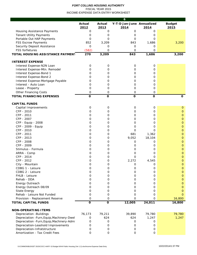| Y-T-D Jan-June Annualized<br><b>Actual</b><br><b>Budget</b><br>Actual<br>2012<br>2013<br>2014<br>2014<br>2015<br>Housing Assistance Payments<br>0<br>0<br>0<br>$\mathbf 0$<br><b>Tenant Utility Payments</b><br>0<br>0<br>0<br>0<br>Portable Out HAP Payments<br>$\Omega$<br>0<br>0<br>0<br><b>FSS Escrow Payments</b><br>852<br>3,209<br>843<br>1,686<br>3,200<br>$\Omega$<br>Security Deposit Assistance<br>0<br>0<br>$\mathbf 0$<br><b>FSS forfietures</b><br>(582)<br>0<br>$\Omega$<br>0<br>270<br>3,209<br>1,686<br>TOTAL HOUSING ASSISTANCE PAYMENT<br>843<br>3,200<br><b>INTEREST EXPENSE</b><br>Interest Expense-N2N Loan<br>0<br>0<br>0<br>$\mathbf 0$<br>Interest Expense-Mtn. Remodel<br>0<br>0<br>0<br>0<br>Interest Expense-Bond 1<br>0<br>0<br>0<br>0<br>Interest Expense-Bond 2<br>0<br>0<br>0<br>0<br>Interest Expense-Mortgage Payable<br>0<br>0<br>0<br>0<br>Interest - Auto Loan<br>0<br>0<br>0<br>0<br>$\Omega$<br>0<br>Lease - Property<br>0<br>0<br><b>Other Financing Costs</b><br>0<br>0<br>0<br>$\mathbf 0$<br>$\overline{\mathbf{o}}$<br>$\overline{\mathbf{o}}$<br>$\overline{\mathbf{o}}$<br><b>TOTAL FINANCING EXPENSES</b><br>$\mathbf 0$<br>O<br><b>CAPITAL FUNDS</b><br>Capital Improvements<br>0<br>0<br>$\mathbf 0$<br>0<br>$\circ$<br>CFP - 2010<br>0<br>0<br>0<br>$\mathbf{O}$<br>0<br>CFP - 2011<br>0<br>0<br>0<br>$\mathbf{O}$<br>0<br>CFP - 2007<br>0<br>0<br>0<br>$\mathbf{O}$<br>0<br>0<br>CFP - Equip - 2008<br>0<br>0<br>0<br>0<br>0<br>$\mathbf 0$<br>0<br>CFP - 2009 - Equip<br>0<br>$\mathbf 0$<br>CFP - 2010<br>0<br>0<br>0<br>0<br>0<br>CFP - 2011<br>0<br>681<br>1,362<br>0<br>0<br>CFP - 2013<br>0<br>9,052<br>18,104<br>0<br>0<br>CFP - 2008<br>0<br>0<br>0<br>0<br>0<br>CFP - 2009<br>0<br>0<br>0<br>0<br>0<br>Stimulus - Formula<br>$\mathsf{O}\xspace$<br>0<br>0<br>0<br>0<br>$\mathsf{O}\xspace$<br>ARRA - Comp<br>0<br>0<br>0<br>0<br>CFP - 2014<br>0<br>0<br>0<br>0<br>0<br>CFP - 2012<br>$\Omega$<br>0<br>2,272<br>$\mathbf{O}$<br>4,545<br>City - Mountain<br>0<br>0<br>0<br>0<br>$\mathbf{O}$<br>CDBG 1 - Leisure<br>0<br>0<br>0<br>0<br>$\mathbf{O}$<br>CDBG 2 - Leisure<br>0<br>0<br>0<br>0<br>$\mathbf{O}$<br>FHLB - Leisure<br>0<br>0<br>0<br>0<br>$\mathbf{O}$<br>Rehab - DDA<br>0<br>0<br>0<br>$\mathbf{O}$<br>0<br>Energy Outreach<br>0<br>0<br>0<br>$\mathbf{O}$<br>0<br>Energy Outreach 08/09<br>0<br>0<br>0<br>0<br>0<br><b>State Energy</b><br>0<br>0<br>0<br>0<br>0<br>Rehab - Leisure Not Funded<br>0<br>0<br>0<br>0<br>0<br>16,800<br>Provision - Replacement Reserve<br>0<br>0<br>0<br>0<br>$\overline{\mathbf{o}}$<br><b>TOTAL CAPITAL FUNDS</b><br>$\mathbf o$<br>12,005<br>24,011<br>16,800<br><b>NON-OPERATING ITEMS</b><br>Depreciation -Buildings<br>76,173<br>79,211<br>79,780<br>39,890<br>79,780<br>Depreciation -Furn, Equip, Machinery-Dwel<br>0<br>624<br>624<br>1,247<br>1,247<br>Depreciation - Furn, Equip, Machinery-Admi<br>0<br>0<br>0<br>0<br>Depreciation-Leashold Improvements<br>0<br>0<br>0<br>0<br>Depreciation-Infratstructure<br>0<br>0<br>0<br>0 |                                |   |   |   |              |  |
|--------------------------------------------------------------------------------------------------------------------------------------------------------------------------------------------------------------------------------------------------------------------------------------------------------------------------------------------------------------------------------------------------------------------------------------------------------------------------------------------------------------------------------------------------------------------------------------------------------------------------------------------------------------------------------------------------------------------------------------------------------------------------------------------------------------------------------------------------------------------------------------------------------------------------------------------------------------------------------------------------------------------------------------------------------------------------------------------------------------------------------------------------------------------------------------------------------------------------------------------------------------------------------------------------------------------------------------------------------------------------------------------------------------------------------------------------------------------------------------------------------------------------------------------------------------------------------------------------------------------------------------------------------------------------------------------------------------------------------------------------------------------------------------------------------------------------------------------------------------------------------------------------------------------------------------------------------------------------------------------------------------------------------------------------------------------------------------------------------------------------------------------------------------------------------------------------------------------------------------------------------------------------------------------------------------------------------------------------------------------------------------------------------------------------------------------------------------------------------------------------------------------------------------------------------------------------------------------------------------------------------------------------------------------------------------------------------------------------------------------------------------------------------------------------------------------------------------------------------------------------------------------------------------------------------------------------------------------------------------------------------------------------------------------------------|--------------------------------|---|---|---|--------------|--|
|                                                                                                                                                                                                                                                                                                                                                                                                                                                                                                                                                                                                                                                                                                                                                                                                                                                                                                                                                                                                                                                                                                                                                                                                                                                                                                                                                                                                                                                                                                                                                                                                                                                                                                                                                                                                                                                                                                                                                                                                                                                                                                                                                                                                                                                                                                                                                                                                                                                                                                                                                                                                                                                                                                                                                                                                                                                                                                                                                                                                                                                        |                                |   |   |   |              |  |
|                                                                                                                                                                                                                                                                                                                                                                                                                                                                                                                                                                                                                                                                                                                                                                                                                                                                                                                                                                                                                                                                                                                                                                                                                                                                                                                                                                                                                                                                                                                                                                                                                                                                                                                                                                                                                                                                                                                                                                                                                                                                                                                                                                                                                                                                                                                                                                                                                                                                                                                                                                                                                                                                                                                                                                                                                                                                                                                                                                                                                                                        |                                |   |   |   |              |  |
|                                                                                                                                                                                                                                                                                                                                                                                                                                                                                                                                                                                                                                                                                                                                                                                                                                                                                                                                                                                                                                                                                                                                                                                                                                                                                                                                                                                                                                                                                                                                                                                                                                                                                                                                                                                                                                                                                                                                                                                                                                                                                                                                                                                                                                                                                                                                                                                                                                                                                                                                                                                                                                                                                                                                                                                                                                                                                                                                                                                                                                                        |                                |   |   |   |              |  |
|                                                                                                                                                                                                                                                                                                                                                                                                                                                                                                                                                                                                                                                                                                                                                                                                                                                                                                                                                                                                                                                                                                                                                                                                                                                                                                                                                                                                                                                                                                                                                                                                                                                                                                                                                                                                                                                                                                                                                                                                                                                                                                                                                                                                                                                                                                                                                                                                                                                                                                                                                                                                                                                                                                                                                                                                                                                                                                                                                                                                                                                        |                                |   |   |   |              |  |
|                                                                                                                                                                                                                                                                                                                                                                                                                                                                                                                                                                                                                                                                                                                                                                                                                                                                                                                                                                                                                                                                                                                                                                                                                                                                                                                                                                                                                                                                                                                                                                                                                                                                                                                                                                                                                                                                                                                                                                                                                                                                                                                                                                                                                                                                                                                                                                                                                                                                                                                                                                                                                                                                                                                                                                                                                                                                                                                                                                                                                                                        |                                |   |   |   |              |  |
|                                                                                                                                                                                                                                                                                                                                                                                                                                                                                                                                                                                                                                                                                                                                                                                                                                                                                                                                                                                                                                                                                                                                                                                                                                                                                                                                                                                                                                                                                                                                                                                                                                                                                                                                                                                                                                                                                                                                                                                                                                                                                                                                                                                                                                                                                                                                                                                                                                                                                                                                                                                                                                                                                                                                                                                                                                                                                                                                                                                                                                                        |                                |   |   |   |              |  |
|                                                                                                                                                                                                                                                                                                                                                                                                                                                                                                                                                                                                                                                                                                                                                                                                                                                                                                                                                                                                                                                                                                                                                                                                                                                                                                                                                                                                                                                                                                                                                                                                                                                                                                                                                                                                                                                                                                                                                                                                                                                                                                                                                                                                                                                                                                                                                                                                                                                                                                                                                                                                                                                                                                                                                                                                                                                                                                                                                                                                                                                        |                                |   |   |   |              |  |
|                                                                                                                                                                                                                                                                                                                                                                                                                                                                                                                                                                                                                                                                                                                                                                                                                                                                                                                                                                                                                                                                                                                                                                                                                                                                                                                                                                                                                                                                                                                                                                                                                                                                                                                                                                                                                                                                                                                                                                                                                                                                                                                                                                                                                                                                                                                                                                                                                                                                                                                                                                                                                                                                                                                                                                                                                                                                                                                                                                                                                                                        |                                |   |   |   |              |  |
|                                                                                                                                                                                                                                                                                                                                                                                                                                                                                                                                                                                                                                                                                                                                                                                                                                                                                                                                                                                                                                                                                                                                                                                                                                                                                                                                                                                                                                                                                                                                                                                                                                                                                                                                                                                                                                                                                                                                                                                                                                                                                                                                                                                                                                                                                                                                                                                                                                                                                                                                                                                                                                                                                                                                                                                                                                                                                                                                                                                                                                                        |                                |   |   |   |              |  |
|                                                                                                                                                                                                                                                                                                                                                                                                                                                                                                                                                                                                                                                                                                                                                                                                                                                                                                                                                                                                                                                                                                                                                                                                                                                                                                                                                                                                                                                                                                                                                                                                                                                                                                                                                                                                                                                                                                                                                                                                                                                                                                                                                                                                                                                                                                                                                                                                                                                                                                                                                                                                                                                                                                                                                                                                                                                                                                                                                                                                                                                        |                                |   |   |   |              |  |
|                                                                                                                                                                                                                                                                                                                                                                                                                                                                                                                                                                                                                                                                                                                                                                                                                                                                                                                                                                                                                                                                                                                                                                                                                                                                                                                                                                                                                                                                                                                                                                                                                                                                                                                                                                                                                                                                                                                                                                                                                                                                                                                                                                                                                                                                                                                                                                                                                                                                                                                                                                                                                                                                                                                                                                                                                                                                                                                                                                                                                                                        |                                |   |   |   |              |  |
|                                                                                                                                                                                                                                                                                                                                                                                                                                                                                                                                                                                                                                                                                                                                                                                                                                                                                                                                                                                                                                                                                                                                                                                                                                                                                                                                                                                                                                                                                                                                                                                                                                                                                                                                                                                                                                                                                                                                                                                                                                                                                                                                                                                                                                                                                                                                                                                                                                                                                                                                                                                                                                                                                                                                                                                                                                                                                                                                                                                                                                                        |                                |   |   |   |              |  |
|                                                                                                                                                                                                                                                                                                                                                                                                                                                                                                                                                                                                                                                                                                                                                                                                                                                                                                                                                                                                                                                                                                                                                                                                                                                                                                                                                                                                                                                                                                                                                                                                                                                                                                                                                                                                                                                                                                                                                                                                                                                                                                                                                                                                                                                                                                                                                                                                                                                                                                                                                                                                                                                                                                                                                                                                                                                                                                                                                                                                                                                        |                                |   |   |   |              |  |
|                                                                                                                                                                                                                                                                                                                                                                                                                                                                                                                                                                                                                                                                                                                                                                                                                                                                                                                                                                                                                                                                                                                                                                                                                                                                                                                                                                                                                                                                                                                                                                                                                                                                                                                                                                                                                                                                                                                                                                                                                                                                                                                                                                                                                                                                                                                                                                                                                                                                                                                                                                                                                                                                                                                                                                                                                                                                                                                                                                                                                                                        |                                |   |   |   |              |  |
|                                                                                                                                                                                                                                                                                                                                                                                                                                                                                                                                                                                                                                                                                                                                                                                                                                                                                                                                                                                                                                                                                                                                                                                                                                                                                                                                                                                                                                                                                                                                                                                                                                                                                                                                                                                                                                                                                                                                                                                                                                                                                                                                                                                                                                                                                                                                                                                                                                                                                                                                                                                                                                                                                                                                                                                                                                                                                                                                                                                                                                                        |                                |   |   |   |              |  |
|                                                                                                                                                                                                                                                                                                                                                                                                                                                                                                                                                                                                                                                                                                                                                                                                                                                                                                                                                                                                                                                                                                                                                                                                                                                                                                                                                                                                                                                                                                                                                                                                                                                                                                                                                                                                                                                                                                                                                                                                                                                                                                                                                                                                                                                                                                                                                                                                                                                                                                                                                                                                                                                                                                                                                                                                                                                                                                                                                                                                                                                        |                                |   |   |   |              |  |
|                                                                                                                                                                                                                                                                                                                                                                                                                                                                                                                                                                                                                                                                                                                                                                                                                                                                                                                                                                                                                                                                                                                                                                                                                                                                                                                                                                                                                                                                                                                                                                                                                                                                                                                                                                                                                                                                                                                                                                                                                                                                                                                                                                                                                                                                                                                                                                                                                                                                                                                                                                                                                                                                                                                                                                                                                                                                                                                                                                                                                                                        |                                |   |   |   |              |  |
|                                                                                                                                                                                                                                                                                                                                                                                                                                                                                                                                                                                                                                                                                                                                                                                                                                                                                                                                                                                                                                                                                                                                                                                                                                                                                                                                                                                                                                                                                                                                                                                                                                                                                                                                                                                                                                                                                                                                                                                                                                                                                                                                                                                                                                                                                                                                                                                                                                                                                                                                                                                                                                                                                                                                                                                                                                                                                                                                                                                                                                                        |                                |   |   |   |              |  |
|                                                                                                                                                                                                                                                                                                                                                                                                                                                                                                                                                                                                                                                                                                                                                                                                                                                                                                                                                                                                                                                                                                                                                                                                                                                                                                                                                                                                                                                                                                                                                                                                                                                                                                                                                                                                                                                                                                                                                                                                                                                                                                                                                                                                                                                                                                                                                                                                                                                                                                                                                                                                                                                                                                                                                                                                                                                                                                                                                                                                                                                        |                                |   |   |   |              |  |
|                                                                                                                                                                                                                                                                                                                                                                                                                                                                                                                                                                                                                                                                                                                                                                                                                                                                                                                                                                                                                                                                                                                                                                                                                                                                                                                                                                                                                                                                                                                                                                                                                                                                                                                                                                                                                                                                                                                                                                                                                                                                                                                                                                                                                                                                                                                                                                                                                                                                                                                                                                                                                                                                                                                                                                                                                                                                                                                                                                                                                                                        |                                |   |   |   |              |  |
|                                                                                                                                                                                                                                                                                                                                                                                                                                                                                                                                                                                                                                                                                                                                                                                                                                                                                                                                                                                                                                                                                                                                                                                                                                                                                                                                                                                                                                                                                                                                                                                                                                                                                                                                                                                                                                                                                                                                                                                                                                                                                                                                                                                                                                                                                                                                                                                                                                                                                                                                                                                                                                                                                                                                                                                                                                                                                                                                                                                                                                                        |                                |   |   |   |              |  |
|                                                                                                                                                                                                                                                                                                                                                                                                                                                                                                                                                                                                                                                                                                                                                                                                                                                                                                                                                                                                                                                                                                                                                                                                                                                                                                                                                                                                                                                                                                                                                                                                                                                                                                                                                                                                                                                                                                                                                                                                                                                                                                                                                                                                                                                                                                                                                                                                                                                                                                                                                                                                                                                                                                                                                                                                                                                                                                                                                                                                                                                        |                                |   |   |   |              |  |
|                                                                                                                                                                                                                                                                                                                                                                                                                                                                                                                                                                                                                                                                                                                                                                                                                                                                                                                                                                                                                                                                                                                                                                                                                                                                                                                                                                                                                                                                                                                                                                                                                                                                                                                                                                                                                                                                                                                                                                                                                                                                                                                                                                                                                                                                                                                                                                                                                                                                                                                                                                                                                                                                                                                                                                                                                                                                                                                                                                                                                                                        |                                |   |   |   |              |  |
|                                                                                                                                                                                                                                                                                                                                                                                                                                                                                                                                                                                                                                                                                                                                                                                                                                                                                                                                                                                                                                                                                                                                                                                                                                                                                                                                                                                                                                                                                                                                                                                                                                                                                                                                                                                                                                                                                                                                                                                                                                                                                                                                                                                                                                                                                                                                                                                                                                                                                                                                                                                                                                                                                                                                                                                                                                                                                                                                                                                                                                                        |                                |   |   |   |              |  |
|                                                                                                                                                                                                                                                                                                                                                                                                                                                                                                                                                                                                                                                                                                                                                                                                                                                                                                                                                                                                                                                                                                                                                                                                                                                                                                                                                                                                                                                                                                                                                                                                                                                                                                                                                                                                                                                                                                                                                                                                                                                                                                                                                                                                                                                                                                                                                                                                                                                                                                                                                                                                                                                                                                                                                                                                                                                                                                                                                                                                                                                        |                                |   |   |   |              |  |
|                                                                                                                                                                                                                                                                                                                                                                                                                                                                                                                                                                                                                                                                                                                                                                                                                                                                                                                                                                                                                                                                                                                                                                                                                                                                                                                                                                                                                                                                                                                                                                                                                                                                                                                                                                                                                                                                                                                                                                                                                                                                                                                                                                                                                                                                                                                                                                                                                                                                                                                                                                                                                                                                                                                                                                                                                                                                                                                                                                                                                                                        |                                |   |   |   |              |  |
|                                                                                                                                                                                                                                                                                                                                                                                                                                                                                                                                                                                                                                                                                                                                                                                                                                                                                                                                                                                                                                                                                                                                                                                                                                                                                                                                                                                                                                                                                                                                                                                                                                                                                                                                                                                                                                                                                                                                                                                                                                                                                                                                                                                                                                                                                                                                                                                                                                                                                                                                                                                                                                                                                                                                                                                                                                                                                                                                                                                                                                                        |                                |   |   |   |              |  |
|                                                                                                                                                                                                                                                                                                                                                                                                                                                                                                                                                                                                                                                                                                                                                                                                                                                                                                                                                                                                                                                                                                                                                                                                                                                                                                                                                                                                                                                                                                                                                                                                                                                                                                                                                                                                                                                                                                                                                                                                                                                                                                                                                                                                                                                                                                                                                                                                                                                                                                                                                                                                                                                                                                                                                                                                                                                                                                                                                                                                                                                        |                                |   |   |   |              |  |
|                                                                                                                                                                                                                                                                                                                                                                                                                                                                                                                                                                                                                                                                                                                                                                                                                                                                                                                                                                                                                                                                                                                                                                                                                                                                                                                                                                                                                                                                                                                                                                                                                                                                                                                                                                                                                                                                                                                                                                                                                                                                                                                                                                                                                                                                                                                                                                                                                                                                                                                                                                                                                                                                                                                                                                                                                                                                                                                                                                                                                                                        |                                |   |   |   |              |  |
|                                                                                                                                                                                                                                                                                                                                                                                                                                                                                                                                                                                                                                                                                                                                                                                                                                                                                                                                                                                                                                                                                                                                                                                                                                                                                                                                                                                                                                                                                                                                                                                                                                                                                                                                                                                                                                                                                                                                                                                                                                                                                                                                                                                                                                                                                                                                                                                                                                                                                                                                                                                                                                                                                                                                                                                                                                                                                                                                                                                                                                                        |                                |   |   |   |              |  |
|                                                                                                                                                                                                                                                                                                                                                                                                                                                                                                                                                                                                                                                                                                                                                                                                                                                                                                                                                                                                                                                                                                                                                                                                                                                                                                                                                                                                                                                                                                                                                                                                                                                                                                                                                                                                                                                                                                                                                                                                                                                                                                                                                                                                                                                                                                                                                                                                                                                                                                                                                                                                                                                                                                                                                                                                                                                                                                                                                                                                                                                        |                                |   |   |   |              |  |
|                                                                                                                                                                                                                                                                                                                                                                                                                                                                                                                                                                                                                                                                                                                                                                                                                                                                                                                                                                                                                                                                                                                                                                                                                                                                                                                                                                                                                                                                                                                                                                                                                                                                                                                                                                                                                                                                                                                                                                                                                                                                                                                                                                                                                                                                                                                                                                                                                                                                                                                                                                                                                                                                                                                                                                                                                                                                                                                                                                                                                                                        |                                |   |   |   |              |  |
|                                                                                                                                                                                                                                                                                                                                                                                                                                                                                                                                                                                                                                                                                                                                                                                                                                                                                                                                                                                                                                                                                                                                                                                                                                                                                                                                                                                                                                                                                                                                                                                                                                                                                                                                                                                                                                                                                                                                                                                                                                                                                                                                                                                                                                                                                                                                                                                                                                                                                                                                                                                                                                                                                                                                                                                                                                                                                                                                                                                                                                                        |                                |   |   |   |              |  |
|                                                                                                                                                                                                                                                                                                                                                                                                                                                                                                                                                                                                                                                                                                                                                                                                                                                                                                                                                                                                                                                                                                                                                                                                                                                                                                                                                                                                                                                                                                                                                                                                                                                                                                                                                                                                                                                                                                                                                                                                                                                                                                                                                                                                                                                                                                                                                                                                                                                                                                                                                                                                                                                                                                                                                                                                                                                                                                                                                                                                                                                        |                                |   |   |   |              |  |
|                                                                                                                                                                                                                                                                                                                                                                                                                                                                                                                                                                                                                                                                                                                                                                                                                                                                                                                                                                                                                                                                                                                                                                                                                                                                                                                                                                                                                                                                                                                                                                                                                                                                                                                                                                                                                                                                                                                                                                                                                                                                                                                                                                                                                                                                                                                                                                                                                                                                                                                                                                                                                                                                                                                                                                                                                                                                                                                                                                                                                                                        |                                |   |   |   |              |  |
|                                                                                                                                                                                                                                                                                                                                                                                                                                                                                                                                                                                                                                                                                                                                                                                                                                                                                                                                                                                                                                                                                                                                                                                                                                                                                                                                                                                                                                                                                                                                                                                                                                                                                                                                                                                                                                                                                                                                                                                                                                                                                                                                                                                                                                                                                                                                                                                                                                                                                                                                                                                                                                                                                                                                                                                                                                                                                                                                                                                                                                                        |                                |   |   |   |              |  |
|                                                                                                                                                                                                                                                                                                                                                                                                                                                                                                                                                                                                                                                                                                                                                                                                                                                                                                                                                                                                                                                                                                                                                                                                                                                                                                                                                                                                                                                                                                                                                                                                                                                                                                                                                                                                                                                                                                                                                                                                                                                                                                                                                                                                                                                                                                                                                                                                                                                                                                                                                                                                                                                                                                                                                                                                                                                                                                                                                                                                                                                        |                                |   |   |   |              |  |
|                                                                                                                                                                                                                                                                                                                                                                                                                                                                                                                                                                                                                                                                                                                                                                                                                                                                                                                                                                                                                                                                                                                                                                                                                                                                                                                                                                                                                                                                                                                                                                                                                                                                                                                                                                                                                                                                                                                                                                                                                                                                                                                                                                                                                                                                                                                                                                                                                                                                                                                                                                                                                                                                                                                                                                                                                                                                                                                                                                                                                                                        |                                |   |   |   |              |  |
|                                                                                                                                                                                                                                                                                                                                                                                                                                                                                                                                                                                                                                                                                                                                                                                                                                                                                                                                                                                                                                                                                                                                                                                                                                                                                                                                                                                                                                                                                                                                                                                                                                                                                                                                                                                                                                                                                                                                                                                                                                                                                                                                                                                                                                                                                                                                                                                                                                                                                                                                                                                                                                                                                                                                                                                                                                                                                                                                                                                                                                                        |                                |   |   |   |              |  |
|                                                                                                                                                                                                                                                                                                                                                                                                                                                                                                                                                                                                                                                                                                                                                                                                                                                                                                                                                                                                                                                                                                                                                                                                                                                                                                                                                                                                                                                                                                                                                                                                                                                                                                                                                                                                                                                                                                                                                                                                                                                                                                                                                                                                                                                                                                                                                                                                                                                                                                                                                                                                                                                                                                                                                                                                                                                                                                                                                                                                                                                        |                                |   |   |   |              |  |
|                                                                                                                                                                                                                                                                                                                                                                                                                                                                                                                                                                                                                                                                                                                                                                                                                                                                                                                                                                                                                                                                                                                                                                                                                                                                                                                                                                                                                                                                                                                                                                                                                                                                                                                                                                                                                                                                                                                                                                                                                                                                                                                                                                                                                                                                                                                                                                                                                                                                                                                                                                                                                                                                                                                                                                                                                                                                                                                                                                                                                                                        |                                |   |   |   |              |  |
|                                                                                                                                                                                                                                                                                                                                                                                                                                                                                                                                                                                                                                                                                                                                                                                                                                                                                                                                                                                                                                                                                                                                                                                                                                                                                                                                                                                                                                                                                                                                                                                                                                                                                                                                                                                                                                                                                                                                                                                                                                                                                                                                                                                                                                                                                                                                                                                                                                                                                                                                                                                                                                                                                                                                                                                                                                                                                                                                                                                                                                                        |                                |   |   |   |              |  |
|                                                                                                                                                                                                                                                                                                                                                                                                                                                                                                                                                                                                                                                                                                                                                                                                                                                                                                                                                                                                                                                                                                                                                                                                                                                                                                                                                                                                                                                                                                                                                                                                                                                                                                                                                                                                                                                                                                                                                                                                                                                                                                                                                                                                                                                                                                                                                                                                                                                                                                                                                                                                                                                                                                                                                                                                                                                                                                                                                                                                                                                        |                                |   |   |   |              |  |
|                                                                                                                                                                                                                                                                                                                                                                                                                                                                                                                                                                                                                                                                                                                                                                                                                                                                                                                                                                                                                                                                                                                                                                                                                                                                                                                                                                                                                                                                                                                                                                                                                                                                                                                                                                                                                                                                                                                                                                                                                                                                                                                                                                                                                                                                                                                                                                                                                                                                                                                                                                                                                                                                                                                                                                                                                                                                                                                                                                                                                                                        |                                |   |   |   |              |  |
|                                                                                                                                                                                                                                                                                                                                                                                                                                                                                                                                                                                                                                                                                                                                                                                                                                                                                                                                                                                                                                                                                                                                                                                                                                                                                                                                                                                                                                                                                                                                                                                                                                                                                                                                                                                                                                                                                                                                                                                                                                                                                                                                                                                                                                                                                                                                                                                                                                                                                                                                                                                                                                                                                                                                                                                                                                                                                                                                                                                                                                                        |                                |   |   |   |              |  |
|                                                                                                                                                                                                                                                                                                                                                                                                                                                                                                                                                                                                                                                                                                                                                                                                                                                                                                                                                                                                                                                                                                                                                                                                                                                                                                                                                                                                                                                                                                                                                                                                                                                                                                                                                                                                                                                                                                                                                                                                                                                                                                                                                                                                                                                                                                                                                                                                                                                                                                                                                                                                                                                                                                                                                                                                                                                                                                                                                                                                                                                        |                                |   |   |   |              |  |
|                                                                                                                                                                                                                                                                                                                                                                                                                                                                                                                                                                                                                                                                                                                                                                                                                                                                                                                                                                                                                                                                                                                                                                                                                                                                                                                                                                                                                                                                                                                                                                                                                                                                                                                                                                                                                                                                                                                                                                                                                                                                                                                                                                                                                                                                                                                                                                                                                                                                                                                                                                                                                                                                                                                                                                                                                                                                                                                                                                                                                                                        |                                |   |   |   |              |  |
|                                                                                                                                                                                                                                                                                                                                                                                                                                                                                                                                                                                                                                                                                                                                                                                                                                                                                                                                                                                                                                                                                                                                                                                                                                                                                                                                                                                                                                                                                                                                                                                                                                                                                                                                                                                                                                                                                                                                                                                                                                                                                                                                                                                                                                                                                                                                                                                                                                                                                                                                                                                                                                                                                                                                                                                                                                                                                                                                                                                                                                                        |                                |   |   |   |              |  |
|                                                                                                                                                                                                                                                                                                                                                                                                                                                                                                                                                                                                                                                                                                                                                                                                                                                                                                                                                                                                                                                                                                                                                                                                                                                                                                                                                                                                                                                                                                                                                                                                                                                                                                                                                                                                                                                                                                                                                                                                                                                                                                                                                                                                                                                                                                                                                                                                                                                                                                                                                                                                                                                                                                                                                                                                                                                                                                                                                                                                                                                        |                                |   |   |   |              |  |
|                                                                                                                                                                                                                                                                                                                                                                                                                                                                                                                                                                                                                                                                                                                                                                                                                                                                                                                                                                                                                                                                                                                                                                                                                                                                                                                                                                                                                                                                                                                                                                                                                                                                                                                                                                                                                                                                                                                                                                                                                                                                                                                                                                                                                                                                                                                                                                                                                                                                                                                                                                                                                                                                                                                                                                                                                                                                                                                                                                                                                                                        |                                |   |   |   |              |  |
|                                                                                                                                                                                                                                                                                                                                                                                                                                                                                                                                                                                                                                                                                                                                                                                                                                                                                                                                                                                                                                                                                                                                                                                                                                                                                                                                                                                                                                                                                                                                                                                                                                                                                                                                                                                                                                                                                                                                                                                                                                                                                                                                                                                                                                                                                                                                                                                                                                                                                                                                                                                                                                                                                                                                                                                                                                                                                                                                                                                                                                                        |                                |   |   |   |              |  |
|                                                                                                                                                                                                                                                                                                                                                                                                                                                                                                                                                                                                                                                                                                                                                                                                                                                                                                                                                                                                                                                                                                                                                                                                                                                                                                                                                                                                                                                                                                                                                                                                                                                                                                                                                                                                                                                                                                                                                                                                                                                                                                                                                                                                                                                                                                                                                                                                                                                                                                                                                                                                                                                                                                                                                                                                                                                                                                                                                                                                                                                        |                                |   |   |   |              |  |
|                                                                                                                                                                                                                                                                                                                                                                                                                                                                                                                                                                                                                                                                                                                                                                                                                                                                                                                                                                                                                                                                                                                                                                                                                                                                                                                                                                                                                                                                                                                                                                                                                                                                                                                                                                                                                                                                                                                                                                                                                                                                                                                                                                                                                                                                                                                                                                                                                                                                                                                                                                                                                                                                                                                                                                                                                                                                                                                                                                                                                                                        |                                |   |   |   |              |  |
|                                                                                                                                                                                                                                                                                                                                                                                                                                                                                                                                                                                                                                                                                                                                                                                                                                                                                                                                                                                                                                                                                                                                                                                                                                                                                                                                                                                                                                                                                                                                                                                                                                                                                                                                                                                                                                                                                                                                                                                                                                                                                                                                                                                                                                                                                                                                                                                                                                                                                                                                                                                                                                                                                                                                                                                                                                                                                                                                                                                                                                                        | Amortization - Tax Credit Fees | 0 | 0 | 0 | $\mathsf{O}$ |  |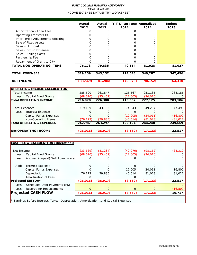|                                             | Actual       | Actual         | Y-T-D Jan-June Annualized |                | <b>Budget</b> |  |  |  |  |  |
|---------------------------------------------|--------------|----------------|---------------------------|----------------|---------------|--|--|--|--|--|
|                                             | 2012         | 2013           | 2014                      | 2014           | 2015          |  |  |  |  |  |
| Amortization - Loan Fees                    | 0            | 0              | 0                         | 0              |               |  |  |  |  |  |
| <b>Operating Transfers OUT</b>              | 0            | 0              | 0                         | 0              |               |  |  |  |  |  |
| Prior Period Adjustments Affecting RR       | 0            | 0              | 0                         | 0              |               |  |  |  |  |  |
| Sale of Fixed Assets                        | 0            | O              | 0                         | 0              |               |  |  |  |  |  |
| Sales - Unit cost                           | $\Omega$     | Ο              | 0                         | 0              |               |  |  |  |  |  |
| Sales - Fix up Expenses                     | $\Omega$     | Ο              | 0                         | 0              |               |  |  |  |  |  |
| Sales - Selling Costs                       | 0            | 0              | 0                         | 0              |               |  |  |  |  |  |
| Partnership Fee                             | 0            | 0              | O                         | 0              |               |  |  |  |  |  |
| Repayment of Grant to City                  | $\Omega$     | Ο              | 0                         | 0              |               |  |  |  |  |  |
| <b>TOTAL NON-OPERATING ITEMS</b>            | 76, 173      | 79,835         | 40,514                    | 81,028         | 81,027        |  |  |  |  |  |
| <b>TOTAL EXPENSES</b>                       | 319,159      | 343,132        | 174,643                   | 349,287        | 347,496       |  |  |  |  |  |
| <b>NET INCOME</b>                           | (33, 569)    | (81, 284)      | (49, 076)                 | (98, 152)      | (64, 310)     |  |  |  |  |  |
| <b>OPERATING INCOME CALCULATION:</b>        |              |                |                           |                |               |  |  |  |  |  |
| <b>Total Income</b>                         | 285,590      | 261,847        | 125,567                   | 251,135        | 283,186       |  |  |  |  |  |
| Less: Capital Fund Grants                   | (68, 620)    | (35, 467)      | (12,005)                  | (24, 010)      | 0             |  |  |  |  |  |
| <b>Total OPERATING INCOME</b>               | 216,970      | 226,380        | 113,562                   | 227,125        | 283,186       |  |  |  |  |  |
| <b>Total Expenses</b>                       | 319,159      | 343,132        | 174,643                   | 349,287        | 347,496       |  |  |  |  |  |
| Less: Interest Expense                      | $\mathbf{O}$ | $\overline{O}$ | $\mathbf{O}$              | $\mathbf{O}$   | $\Omega$      |  |  |  |  |  |
| <b>Capital Funds Expenses</b>               | $\Omega$     | $\Omega$       | (12,005)                  | (24, 011)      | (16, 800)     |  |  |  |  |  |
| Non-Operating Items                         | (76, 173)    | (79, 835)      | (40, 514)                 | (81, 028)      | (81, 027)     |  |  |  |  |  |
| <b>Total OPERATING EXPENSES</b>             | 242,987      | 263,297        | 122,124                   | 244,248        | 249,669       |  |  |  |  |  |
| <b>Net OPERATING INCOME</b>                 | (26, 016)    | (36, 917)      | (8, 562)                  | (17, 123)      | 33,517        |  |  |  |  |  |
| <b>CASH FLOW CALCULATION (Operating):</b>   |              |                |                           |                |               |  |  |  |  |  |
| Net Income                                  | (33, 569)    | (81, 284)      | (49, 076)                 | (98, 152)      | (64, 310)     |  |  |  |  |  |
| Capital Fund Grants<br>Less:                | (68, 620)    | (35, 467)      | (12,005)                  | (24, 010)      | 0             |  |  |  |  |  |
| Accrued (unpaid) Soft Loan Interes<br>Less: | $\mathbf{O}$ | 0              | $\Omega$                  | $\mathbf{O}$   | 0             |  |  |  |  |  |
| Add:<br><b>Interest Expense</b>             | $\mathbf 0$  | $\circ$        | 0                         | $\overline{O}$ | 0             |  |  |  |  |  |
| <b>Capital Funds Expenses</b>               | 0            | 0              | 12,005                    | 24,011         | 16,800        |  |  |  |  |  |
| Depreciation                                | 76,173       | 79,835         | 40,514                    | 81,028         | 81,027        |  |  |  |  |  |
| Amortization of Fees                        | $\mathbf{O}$ | 0              | 0                         | 0              | <sup>O</sup>  |  |  |  |  |  |
| Projected EBITDA*                           | (26, 016)    | (36, 917)      | (8, 562)                  | (17, 123)      | 33,517        |  |  |  |  |  |
| Scheduled Debt Payments (P&I)<br>Less:      |              |                |                           |                | $\Omega$      |  |  |  |  |  |
| Reserve for Replacements<br>Less:           | $\mathbf{O}$ | $\circ$        | $\mathbf{O}$              | $\circ$        | (16, 800)     |  |  |  |  |  |
| <b>Projected CASH FLOW</b>                  | (26, 016)    | (36, 917)      | (8, 562)                  | (17, 123)      | 16,717        |  |  |  |  |  |
|                                             |              |                |                           |                |               |  |  |  |  |  |

\* Earnings Before Interest, Taxes, Depreciation, Amortization…and Capital Expenses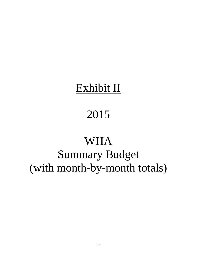### Exhibit II

### 2015

# WHA Summary Budget (with month-by-month totals)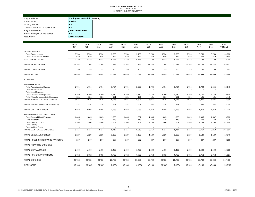### *FORT COLLINS HOUSING AUTHORITY* FISCAL YEAR 2013 12-MONTH BUDGET SUMMARY

| <b>Wellington HA Public Housing</b> |  |
|-------------------------------------|--|
| phwha                               |  |
| n/a                                 |  |
| n/a                                 |  |
| John Tuchscherer                    |  |
| n/a                                 |  |
| <b>Carol McGrath</b>                |  |
|                                     |  |

|                                                                            | 2015<br>Jan              | 2015<br>Feb  | 2015<br>Mar              | 2015<br>Apr              | 2015<br>May              | 2015<br>Jun              | 2015<br>Jul              | 2015<br>Aug              | 2015<br>Sep              | 2015<br>Oct  | 2015<br>Nov  | 2015<br>Dec  | 2015<br><b>TOTALS</b> |
|----------------------------------------------------------------------------|--------------------------|--------------|--------------------------|--------------------------|--------------------------|--------------------------|--------------------------|--------------------------|--------------------------|--------------|--------------|--------------|-----------------------|
| <b>TENANT INCOME</b>                                                       |                          |              |                          |                          |                          |                          |                          |                          |                          |              |              |              |                       |
| <b>Total Rental Income</b>                                                 | 5,750                    | 5,750        | 5,750                    | 5,750                    | 5,750                    | 5,750                    | 5,750                    | 5,750                    | 5,750                    | 5,750        | 5,750        | 5,750        | 69,000                |
| <b>Total Other Tenant Income</b>                                           | 549                      | 549          | 549                      | 549                      | 549                      | 549                      | 549                      | 549                      | 549                      | 549          | 549          | 549          | 6,590                 |
| <b>NET TENANT INCOME</b>                                                   | 6,299                    | 6,299        | 6,299                    | 6,299                    | 6,299                    | 6,299                    | 6,299                    | 6,299                    | 6,299                    | 6,299        | 6,299        | 6,299        | 75,590                |
| <b>TOTAL GRANT INCOME</b>                                                  | 17,144                   | 17,144       | 17,144                   | 17,144                   | 17,144                   | 17,144                   | 17,144                   | 17,144                   | 17.144                   | 17,144       | 17,144       | 17,144       | 205,731               |
| TOTAL OTHER INCOME                                                         | 155                      | 155          | 155                      | 155                      | 155                      | 155                      | 155                      | 155                      | 155                      | 155          | 155          | 155          | 1,865                 |
| <b>TOTAL INCOME</b>                                                        | 23,599                   | 23,599       | 23,599                   | 23,599                   | 23,599                   | 23,599                   | 23,599                   | 23,599                   | 23,599                   | 23,599       | 23,599       | 23,599       | 283,186               |
| <b>EXPENSES</b>                                                            |                          |              |                          |                          |                          |                          |                          |                          |                          |              |              |              |                       |
| <b>ADMINISTRATIVE</b>                                                      |                          |              |                          |                          |                          |                          |                          |                          |                          |              |              |              |                       |
| <b>Total Administrative Salaries</b>                                       | 1.704                    | 1,704        | 1,704                    | 1,704                    | 1,704                    | 2,555                    | 1,704                    | 1,704                    | 1,704                    | 1,704        | 1,704        | 2.555        | 22,146                |
| <b>Total FSS Salaries</b>                                                  | $\overline{\phantom{a}}$ |              |                          | $\overline{\phantom{a}}$ | $\overline{\phantom{a}}$ |                          | $\overline{\phantom{a}}$ | $\overline{\phantom{a}}$ | $\overline{\phantom{a}}$ | ÷,           |              |              |                       |
| <b>Total Legal Expense</b>                                                 |                          |              | $\overline{\phantom{a}}$ | $\overline{\phantom{a}}$ | $\overline{\phantom{a}}$ |                          | $\overline{\phantom{a}}$ | $\overline{\phantom{a}}$ | $\overline{\phantom{a}}$ |              |              |              |                       |
| <b>Total Other Admin Expenses</b>                                          | 4,150                    | 4,150        | 4,150                    | 4,150                    | 4,150                    | 4,150                    | 4,150                    | 4,150                    | 4,150                    | 4,150        | 4,150        | 4,150        | 49,804                |
| <b>Total Miscellaneous Admin Expenses</b><br>TOTAL ADMINISTRATIVE EXPENSES | 121<br>5.975             | 121<br>5.975 | 121<br>5,975             | 121<br>5,975             | 121<br>5,975             | 121<br>6.826             | 121<br>5,975             | 121<br>5,975             | 121<br>5,975             | 121<br>5.975 | 121<br>5,975 | 121<br>6,826 | 1,448<br>73,398       |
|                                                                            |                          |              |                          |                          |                          |                          |                          |                          |                          |              |              |              |                       |
| <b>TOTAL TENANT SERVICES EXPENSES</b>                                      | 225                      | 225          | 225                      | 225                      | 225                      | 225                      | 225                      | 225                      | 225                      | 225          | 225          | 225          | 2,700                 |
| TOTAL UTILITY EXPENSES                                                     | 4,268                    | 4,268        | 4,268                    | 4,268                    | 4,268                    | 4,268                    | 4,268                    | 4,268                    | 4,268                    | 4,268        | 4,268        | 4,268        | 51,220                |
| MAINTENANCE AND OPERATIONS                                                 |                          |              |                          |                          |                          |                          |                          |                          |                          |              |              |              |                       |
| <b>Total General Maint Expense</b>                                         | 1,005                    | 1,005        | 1,005                    | 1,005                    | 1,005                    | 1,507                    | 1,005                    | 1,005                    | 1,005                    | 1,005        | 1,005        | 1,507        | 13,060                |
| <b>Total Materials</b>                                                     | 448                      | 448          | 448                      | 448                      | 448                      | 448                      | 448                      | 448                      | 448                      | 448          | 448          | 448          | 5,376                 |
| <b>Total Contract Costs</b>                                                | 7,264                    | 7,264        | 7,264                    | 7,264                    | 7,264                    | 7,264                    | 7,264                    | 7,264                    | 7,264                    | 7,264        | 7,264        | 7,264        | 87,168                |
| <b>Total Facility</b>                                                      |                          |              |                          |                          |                          |                          |                          | $\overline{\phantom{a}}$ | ÷,                       | ÷,           |              |              |                       |
| <b>Total Vehicle Costs</b>                                                 |                          |              |                          | $\overline{\phantom{a}}$ | $\overline{\phantom{a}}$ | $\overline{\phantom{a}}$ | $\overline{\phantom{a}}$ | $\sim$                   | $\overline{\phantom{a}}$ | $\sim$       |              |              |                       |
| TOTAL MAINTENACE EXPENSES                                                  | 8,717                    | 8,717        | 8,717                    | 8,717                    | 8,717                    | 9,219                    | 8,717                    | 8,717                    | 8,717                    | 8,717        | 8,717        | 9,219        | 105,604               |
| <b>TOTAL GENERAL EXPENSES</b>                                              | 1,129                    | 1,129        | 1,129                    | 1,129                    | 1,129                    | 1,129                    | 1,129                    | 1,129                    | 1,129                    | 1,129        | 1,129        | 1,129        | 13,546                |
| TOTAL HOUSING ASSISTANCE PAYMENTS                                          | 267                      | 267          | 267                      | 267                      | 267                      | 267                      | 267                      | 267                      | 267                      | 267          | 267          | 267          | 3,200                 |
| TOTAL FINANCING EXPENSES                                                   |                          |              |                          |                          |                          |                          |                          |                          |                          |              |              |              |                       |
| TOTAL CAPITAL FUNDS                                                        | 1,400                    | 1,400        | 1,400                    | 1,400                    | 1,400                    | 1,400                    | 1,400                    | 1,400                    | 1,400                    | 1,400        | 1,400        | 1,400        | 16,800                |
| TOTAL NON-OPERATING ITEMS                                                  | 6,752                    | 6,752        | 6,752                    | 6,752                    | 6,752                    | 6,752                    | 6,752                    | 6,752                    | 6,752                    | 6,752        | 6,752        | 6,752        | 81,027                |
| <b>TOTAL EXPENSES</b>                                                      | 28.732                   | 28,732       | 28,732                   | 28,732                   | 28,732                   | 30,086                   | 28,732                   | 28,732                   | 28,732                   | 28,732       | 28,732       | 30,086       | 347,496               |
| <b>NET INCOME</b>                                                          | (5, 133)                 | (5, 133)     | (5, 133)                 | (5, 133)                 | (5, 133)                 | (6, 488)                 | (5, 133)                 | (5, 133)                 | (5, 133)                 | (5, 133)     | (5, 133)     | (6, 488)     | (64, 310)             |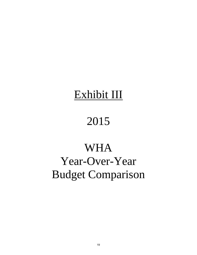### Exhibit III

### 2015

# WHA Year-Over-Year Budget Comparison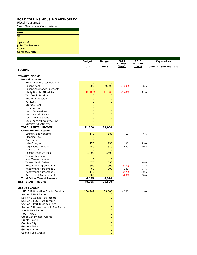#### *FORT COLLINS HOUSING AUTHORITY*

Fiscal Year 2015

Year-Over-Year Comparison

| <b>WHA</b>              |
|-------------------------|
| ble):                   |
|                         |
| applicable):            |
| <b>John Tuchscherer</b> |
| $l$ icable $)$ :        |
| <b>Carol McGrath</b>    |

|                                                                    | <b>Budget</b>  | <b>Budget</b>               | 2015<br>$$ - Incr$ | 2015<br><u>% - Incr</u> | <b>Explanations</b>   |
|--------------------------------------------------------------------|----------------|-----------------------------|--------------------|-------------------------|-----------------------|
|                                                                    | 2014           | 2015                        | (Decr)             | (Decr)                  | Over '\$1,500 and 10% |
| <b>INCOME</b>                                                      |                |                             |                    |                         |                       |
|                                                                    |                |                             |                    |                         |                       |
| <b>TENANT INCOME</b>                                               |                |                             |                    |                         |                       |
| <b>Rental Income</b><br>Rent Income-Gross Potential                | $\circ$        | $\circ$                     |                    |                         |                       |
| <b>Tenant Rent</b>                                                 | 84,000         | 80,000                      | (4,000)            | 5%                      |                       |
| Tenant Assistance Payments                                         | $\mathbf{O}$   | $\circ$                     |                    |                         |                       |
| Utility Reimb.-Affordable                                          | (12, 400)      | (11,000)                    | (1,400)            | $-11%$                  |                       |
| Tax Credit Subsidy                                                 | O              | $\mathbf 0$                 |                    |                         |                       |
| Section 8 Subsidy                                                  | $\circ$        | $\mathbf 0$                 |                    |                         |                       |
| Pet Rent                                                           | $\mathbf{O}$   | $\mathbf 0$                 |                    |                         |                       |
| Storage Rent                                                       | $\mathbf{O}$   | $\mathbf 0$                 |                    |                         |                       |
| Less: Vacancies                                                    | $\circ$        | $\mathbf 0$                 |                    |                         |                       |
| Less: Concessions                                                  | $\Omega$       | $\overline{O}$              |                    |                         |                       |
| Less: Prepaid Rents                                                | $\mathbf{O}$   | $\overline{0}$              |                    |                         |                       |
| Less: Delinquencies                                                | $\overline{O}$ | $\overline{0}$              |                    |                         |                       |
| Less: Admin/Employee Unit                                          | $\circ$        | $\mathbf 0$                 |                    |                         |                       |
| Subsidy Adjustments                                                | $\circ$        | $\overline{0}$              |                    |                         |                       |
| <b>TOTAL RENTAL INCOME</b>                                         | 71,600         | 69,000                      |                    |                         |                       |
| <b>Other Tenant Income</b>                                         |                |                             |                    |                         |                       |
| Laundry and Vending                                                | 170            | 180                         | 10                 | 6%                      |                       |
| Cleaning Fee                                                       | $\mathbf 0$    | $\mathbf 0$                 |                    |                         |                       |
| Damages                                                            | $\mathbf 0$    | $\circ$                     |                    |                         |                       |
| Late Charges                                                       | 770            | 950                         | 180                | 23%                     |                       |
| Legal Fees - Tenant                                                | 240            | 670                         | 430                | 179%                    |                       |
| <b>NSF Charges</b>                                                 | $\circ$        | $\mathbf{O}$                |                    |                         |                       |
| <b>Tenant Owed Utilities</b>                                       | 1,400          | 1,400                       | $\mathbf 0$        |                         |                       |
| <b>Tenant Screening</b>                                            | $\mathbf{O}$   | $\mathbf 0$                 |                    |                         |                       |
| Misc. Tenant Income                                                | $\circ$        | $\overline{O}$              |                    |                         |                       |
| <b>Tenant Work Orders</b>                                          | 1,475          | 1,690                       | 215                | 15%                     |                       |
| Repayment Agreement 1                                              | 1,600          | 900                         | (700)              | $-44%$                  |                       |
| Repayment Agreement 2                                              | 460            | 800                         | 340                | 74%                     |                       |
| Repayment Agreement 3                                              | 170            | $\mathbf{O}$                | (170)              | $-100%$                 |                       |
| Repayment Agreement 4                                              | 200            | $\mathbf 0$                 | (200)              | $-100%$                 |                       |
| <b>Total Other Tenant Income</b>                                   | 6,485          | 6,590                       |                    |                         |                       |
| <b>NET TENANT INCOME</b>                                           | 78,085         | 75,590                      |                    |                         |                       |
|                                                                    |                |                             |                    |                         |                       |
| <b>GRANT INCOME</b>                                                |                |                             |                    | 3%                      |                       |
| HUD PHA Operating Grants/Subsidy                                   | 150,247        | 155,000                     | 4,753              |                         |                       |
| Section 8 HAP Earned<br>Section 8 Admin. Fee Income                |                | $\mathbf{O}$<br>$\mathbf 0$ |                    |                         |                       |
| Section 8 FSS Grant Income                                         |                | $\overline{0}$              |                    |                         |                       |
|                                                                    |                | $\mathsf{O}\xspace$         |                    |                         |                       |
| Section 8 Port-In Admin Fees<br>Section 8 Homeownership Fee Earned |                | $\mathbf 0$                 |                    |                         |                       |
| Port In HAP Earned                                                 |                | $\mathbf{O}$                |                    |                         |                       |
| HUD - ROSS                                                         |                | $\mathbf{O}$                |                    |                         |                       |
| Other Government Grants                                            |                | $\mathbf{O}$                |                    |                         |                       |
| Grants - CDOH                                                      |                | $\mathbf{O}$                |                    |                         |                       |
| Grants - City                                                      |                | $\mathbf{O}$                |                    |                         |                       |
| Grants - FHLB                                                      |                | $\mathbf{O}$                |                    |                         |                       |
| Grants - Other                                                     |                | $\mathbf{O}$                |                    |                         |                       |
| <b>Capital Fund Grants</b>                                         |                | $\mathbf{O}$                |                    |                         |                       |
|                                                                    |                |                             |                    |                         |                       |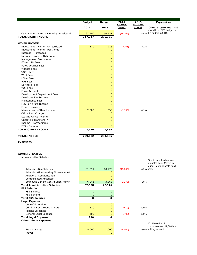|                                          | <b>Budget</b> | <b>Budget</b>  | 2015<br>$$ - Incr$ | 2015<br>$% - Incr$ | <b>Explanations</b>                                  |
|------------------------------------------|---------------|----------------|--------------------|--------------------|------------------------------------------------------|
|                                          | 2014          | 2015           | (Decr)             | (Decr)             | Over '\$1,500 and 10%                                |
| Capital Fund Grants-Operating Subsidy ** | 67,500        | 50,731         | (16, 769)          |                    | Moved from CFP budget to<br>-25% this budget in 2015 |
| <b>TOTAL GRANT INCOME</b>                | 217,747       | 205,731        |                    |                    |                                                      |
|                                          |               |                |                    |                    |                                                      |
| <b>OTHER INCOME</b>                      |               |                |                    |                    |                                                      |
| Investment Income - Unrestricted         | 370           | 215            | (155)              | $-42%$             |                                                      |
| Investment Income - Restricted           |               | $\mathbf{O}$   |                    |                    |                                                      |
| Interest - Mortgages                     |               | $\mathbf 0$    |                    |                    |                                                      |
| Interest Income - N2N Loan               |               | $\mathbf 0$    |                    |                    |                                                      |
| Management Fee Income                    |               | $\mathbf{O}$   |                    |                    |                                                      |
| <b>FCHA LIPH Fees</b>                    |               | $\mathbf 0$    |                    |                    |                                                      |
| <b>FCHA Voucher Fees</b>                 |               | $\mathbf 0$    |                    |                    |                                                      |
| <b>Villages Fees</b>                     |               | $\mathsf{O}$   |                    |                    |                                                      |
| <b>VOCC Fees</b>                         |               | $\overline{O}$ |                    |                    |                                                      |
| <b>WHA Fees</b>                          |               | $\mathbf{O}$   |                    |                    |                                                      |
| <b>LCHA Fees</b>                         |               | 0              |                    |                    |                                                      |
| <b>VOE Fees</b>                          |               | $\mathbf{O}$   |                    |                    |                                                      |
| Northern Fees                            |               | $\mathsf{O}$   |                    |                    |                                                      |
| VOS Fees                                 |               | 0              |                    |                    |                                                      |
| Force Account                            |               | $\overline{O}$ |                    |                    |                                                      |
| Development Department Fees              |               | $\mathsf{O}$   |                    |                    |                                                      |
| Developer Fee Income                     |               | $\mathsf{O}$   |                    |                    |                                                      |
| Maintenance Fees                         |               | $\mathbf 0$    |                    |                    |                                                      |
| FSS Forteiture Income                    |               | $\mathbf 0$    |                    |                    |                                                      |
| Fraud Recovery                           |               | $\Omega$       |                    |                    |                                                      |
| Miscellaneous Other Income               | 2,800         | 1,650          | (1, 150)           | $-41%$             |                                                      |
| Office Rent Charged                      |               | $\mathbf{O}$   |                    |                    |                                                      |
| Leasing Office Income                    |               | $\mathbf{O}$   |                    |                    |                                                      |
| <b>Operating Transfers IN</b>            |               | $\mathsf{O}$   |                    |                    |                                                      |
| Income - Partnerships                    |               | $\mathbf{O}$   |                    |                    |                                                      |
| FSS - Donations                          |               | $\Omega$       |                    |                    |                                                      |
| <b>TOTAL OTHER INCOME</b>                | 3,170         | 1,865          |                    |                    |                                                      |
| <b>TOTAL INCOME</b>                      | 299,002       | 283,186        |                    |                    |                                                      |
|                                          |               |                |                    |                    |                                                      |

 **EXPENSES**

#### **ADMINISTRATIVE**

| Administrative Salaries              |              |              |           |                              |
|--------------------------------------|--------------|--------------|-----------|------------------------------|
|                                      |              |              |           | Director and 2 admins not    |
|                                      |              |              |           | budgeted here. Moved to      |
|                                      |              |              |           | Mgmt. Fee to allocate to all |
| Administrative Salaries              | 31,511       | 18,278       | (13, 233) | -42% props                   |
| Administrative Housing AllowanceUnit |              | Ο            |           |                              |
| Additional Compensation              |              | $\Omega$     |           |                              |
| <b>Compensated Absences</b>          |              | O            |           |                              |
| Employee Benefit Contribution-Admin  | 6,046        | 3,868        | (2, 178)  | $-36%$                       |
| <b>Total Administrative Salaries</b> | 37,558       | 22,146       |           |                              |
| <b>FSS Salaries</b>                  |              |              |           |                              |
| <b>FSS Salaries</b>                  | $\Omega$     | 0            |           |                              |
| <b>FSS Benefits</b>                  | $\mathbf{O}$ | 0            |           |                              |
| <b>Total FSS Salaries</b>            | 0            | $\Omega$     |           |                              |
| <b>Legal Expense</b>                 |              |              |           |                              |
| <b>Unlawful Detainers</b>            |              | $\mathbf{O}$ |           |                              |
| Criminal Background Checks           | 510          | $\mathbf{O}$ | (510)     | $-100%$                      |
| <b>Tenant Screening</b>              |              | $\mathbf{O}$ |           |                              |
| General Legal Expense                | 400          | $\mathbf 0$  | (400)     | $-100%$                      |
| <b>Total Legal Expense</b>           | 910          | $\Omega$     |           |                              |
| <b>Other Admin Expenses</b>          |              |              |           |                              |
|                                      |              |              |           | 2014 based on 2              |
|                                      |              |              |           | commissioners. \$1,000 is a  |
| <b>Staff Training</b>                | 5,000        | 1,000        | (4,000)   | -80% holding amount          |
| Travel                               |              | $\circ$      |           |                              |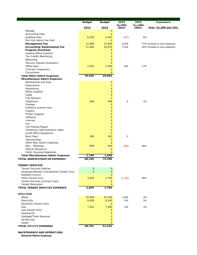|                                                 | <b>Budget</b> | <b>Budget</b>                | 2015<br><u>\$ - Incr</u> | 2015<br><u>% - Incr_</u> | <b>Explanations</b>           |
|-------------------------------------------------|---------------|------------------------------|--------------------------|--------------------------|-------------------------------|
|                                                 | <u> 2014 </u> | 2015                         | (Decr)                   | <u>(Decr)</u>            | Over '\$1,500 and 10%         |
| Mileage                                         |               | $\mathbf 0$                  |                          |                          |                               |
| <b>Accounting Fees</b>                          |               | $\overline{O}$               |                          |                          |                               |
| <b>Auditing Fees</b><br>Port Out Admin Fee Paid | 6,292         | 5,925<br>$\circ$             | (367)                    | $-6%$                    |                               |
| <b>Management Fee</b>                           | 14,968        | 23,496                       | 8,528                    |                          | 57% Increase in cocc expenses |
| Accounting/Bookkeeping Fee                      | 11,644        | 16,974                       | 5,330                    |                          | 46% Increase in cocc expenses |
| Program Overhead                                |               | $\mathbf{O}$                 |                          |                          |                               |
| Leasing Office Expense                          |               | $\mathbf 0$                  |                          |                          |                               |
| Tax Credits Monitoring                          |               | $\mathbf{O}$                 |                          |                          |                               |
| Marketing                                       |               | $\mathbf{O}$                 |                          |                          |                               |
| Security Deposit Assistance                     |               | $\overline{O}$               |                          |                          |                               |
| Office Rent                                     | 2,054         | 2,409                        | 355                      | 17%                      |                               |
| <b>Contract Inspections</b><br>Consultants      |               | $\mathbf{O}$<br>$\mathbf{O}$ |                          |                          |                               |
| <b>Total Other Admin Expenses</b>               | 39,958        | 49,804                       |                          |                          |                               |
| <b>Miscellaneous Admin Expenses</b>             |               |                              |                          |                          |                               |
| Membership and Fees                             |               | $\mathbf{O}$                 |                          |                          |                               |
| Publications                                    |               | $\mathbf{O}$                 |                          |                          |                               |
| Advertising                                     |               | $\mathbf 0$                  |                          |                          |                               |
| Office Supplies                                 |               | $\overline{O}$               |                          |                          |                               |
| Cable                                           |               | $\overline{O}$               |                          |                          |                               |
| <b>City Network</b>                             |               | $\overline{O}$               |                          |                          |                               |
| Telephone                                       | 640           | 648<br>$\mathbf 0$           | 8                        | 1%                       |                               |
| Postage<br>Software License Fees                |               | $\overline{O}$               |                          |                          |                               |
| Copiers                                         |               | $\overline{O}$               |                          |                          |                               |
| <b>Printer Supplies</b>                         |               | $\mathbf{O}$                 |                          |                          |                               |
| Software                                        |               | $\mathbf{O}$                 |                          |                          |                               |
| Internet                                        |               | $\overline{O}$               |                          |                          |                               |
| Fax                                             |               | $\overline{O}$               |                          |                          |                               |
| Cell Phones/Pagers                              |               | $\overline{O}$               |                          |                          |                               |
| Temporary Administrative Labor                  |               | $\mathbf 0$                  |                          |                          |                               |
| Small Office Equipment<br><b>Bank Fees</b>      | 300           | $\mathbf{O}$<br>300          | 0                        |                          |                               |
| Sponsorships                                    |               | $\mathbf 0$                  |                          |                          |                               |
| Other Misc Admin Expenses                       |               | $\mathbf 0$                  |                          |                          |                               |
| Misc - Meetings                                 | 800           | 500                          | (300)                    | $-38%$                   |                               |
| Vehicle Allowance                               |               | $\mathbf 0$                  |                          |                          |                               |
| Public Housing Disposition                      |               | $\mathbf{O}$                 |                          |                          |                               |
| <b>Total Miscellaneous Admin Expenses</b>       | 1,740         | 1,448                        |                          |                          |                               |
| <b>TOTAL ADMINISTRATIVE EXPENSES</b>            | 80,166        | 73,398                       |                          |                          |                               |
| <b>TENANT SERVICES</b>                          |               |                              |                          |                          |                               |
| <b>Tenant Services Salaries</b>                 | $\mathbf{O}$  | 0                            |                          |                          |                               |
| Employee Benefit Contributions-Tenant Svcs.     | $\mathbf 0$   | $\mathbf{O}$                 |                          |                          |                               |
| <b>Resident Council</b>                         |               | 0                            |                          |                          |                               |
| Other Tenant Svcs.                              | 3,850         | 2,700                        | (1, 150)                 | $-30%$                   |                               |
| <b>Tenant Services Contract Costs</b>           |               | $\mathbf 0$                  |                          |                          |                               |
| <b>Tenant Relocation</b>                        |               | $\mathbf{O}$                 |                          |                          |                               |
| <b>TOTAL TENANT SERVICES EXPENSES</b>           | 3,850         | 2,700                        |                          |                          |                               |
| <b>UTILITIES</b>                                |               |                              |                          |                          |                               |
| Water                                           | 34,500        | 35,500                       | 1,000                    | 3%                       |                               |
| Electricity                                     | 8,000         | 8,240                        | 240                      | 3%                       |                               |
| Electricity-Vacant Units                        |               | $\mathbf 0$                  |                          |                          |                               |
| Gas                                             | 7,261         | 7,480                        | 219                      | 3%                       |                               |
| Gas-Vacant Units                                |               | $\mathbf 0$                  |                          |                          |                               |
| <b>Heating Oil</b>                              |               | $\mathbf 0$                  |                          |                          |                               |
| Garbage/Trash Removal                           |               | $\mathbf 0$                  |                          |                          |                               |
| Do Not Use<br>Sewer                             |               | $\mathbf{O}$<br>$\mathbf{O}$ |                          |                          |                               |
| <b>TOTAL UTILITY EXPENSES</b>                   | 49,761        | 51,220                       |                          |                          |                               |
|                                                 |               |                              |                          |                          |                               |

 **MAINTENANCE AND OPERATIONS General Maint Expense**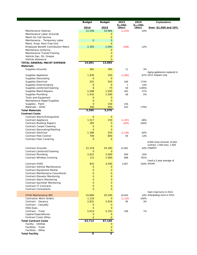|                                      | <b>Budget</b>  | <b>Budget</b>           | 2015<br>$$ - Incr$ | 2015<br><u>% - Incr_</u> | <b>Explanations</b>                                       |
|--------------------------------------|----------------|-------------------------|--------------------|--------------------------|-----------------------------------------------------------|
|                                      | <u> 2014</u>   | <u>2015</u>             | (Decr)             | (Decr)                   | Over '\$1,500 and 10%                                     |
| Maintenance Salaries                 | 12,209         | 10,966                  | (1, 243)           | $-10%$                   |                                                           |
| Maintenance Labor-Grounds            |                | $\mathbf{O}$            |                    |                          |                                                           |
| Maint-On Call Service                |                | $\mathbf{O}$            |                    |                          |                                                           |
| Maintenance - Temporary Labor        | $\mathbf 0$    | $\overline{O}$          |                    |                          |                                                           |
| Maint. Empl. Rent Free Unit          |                | $\Omega$                |                    |                          |                                                           |
| Employee Benefit Contribution-Maint. | 2,393          | 2,095                   | (298)              | $-12%$                   |                                                           |
| Maintenace Uniforms                  |                | 0                       |                    |                          |                                                           |
| Maintenance Travel/Training          |                | $\mathbf 0$             |                    |                          |                                                           |
| Vehicle Gas, Oil, Grease             |                | 0                       |                    |                          |                                                           |
| Vehicle allowance                    |                | $\mathbf{O}$            |                    |                          |                                                           |
| TOTAL GENERAL MAINT EXPENSE          | 14,601         | 13,060                  |                    |                          |                                                           |
| <b>Materials</b>                     |                |                         |                    |                          |                                                           |
| Supplies-Grounds                     | 381            | 392                     | 11                 | 3%                       | Aging appliances replaced in                              |
| Supplies-Appliance                   | 1,930          | 250                     | (1,680)            |                          | -87% 2013. Repairs only.                                  |
| Supplies-Decorating                  | $\circ$        | $\mathbf{O}$            |                    |                          |                                                           |
| Supplies-Electrical                  | 201            | 550                     | 349                | 174%                     |                                                           |
| Supplies-Exterminating               | 8              | 9                       | $\mathbf{1}$       | 14%                      |                                                           |
| Supplies-Janitorial/Cleaning         | 6              | 75                      | 69                 | 1195%                    |                                                           |
|                                      |                |                         | 402                | 37%                      |                                                           |
| Supplies-Maint/Repairs               | 1,098          | 1,500                   |                    |                          |                                                           |
| Supplies-Plumbing                    | 1,432          | 1,500                   | 68                 | 5%                       |                                                           |
| Tools and Equipment                  | $\circ$        | $\mathsf{O}$            |                    |                          |                                                           |
| Maintenance Paper/Supplies           | $\mathbf 0$    | $\mathbf{O}$            |                    |                          |                                                           |
| Supplies - Paint                     | $\circ$        | 150                     | 150                |                          |                                                           |
| Materials - HVAC                     | 340            | 950                     | 610                | 179%                     |                                                           |
| <b>Total Materials</b>               | 5,395          | 5,376                   |                    |                          |                                                           |
| <b>Contract Costs</b>                |                |                         |                    |                          |                                                           |
| Contract-Alarm/Extinguisher          | $\overline{0}$ | $\mathbf{O}$            |                    |                          |                                                           |
| Contract-Appliance                   | 1,517          | 150                     | (1, 367)           | $-90%$                   |                                                           |
| <b>Contract-Building Repairs</b>     | 265            | 0                       | (265)              | $-100%$                  |                                                           |
| Contract-Carpet Cleaning             | $\mathbf 0$    | $\mathbf{O}$            |                    |                          |                                                           |
| Contract-Decorating/Painting         | $\overline{O}$ | $\mathsf{O}$            |                    |                          |                                                           |
| Contract-Electrical                  | 1,386          | 250                     | (1, 136)           | $-82%$                   |                                                           |
| Contract-Pest Control                | 706            | 800                     | 94                 | 13%                      |                                                           |
| Contract-Floor Covering              | $\overline{0}$ | $\mathbf{O}$            |                    |                          |                                                           |
|                                      |                |                         |                    |                          | 8,500 snow removal, 22,841<br>contract, 1,500 misc, 1,500 |
| Contract-Grounds                     | 22,219         | 34,300                  | 12,081             |                          | 54% irrigation                                            |
| Contract-Janitorial/Cleaning         | $\circ$        | $\mathbf{O}$            |                    |                          |                                                           |
| Contract-Plumbing                    | 2,831          | 3,400                   | 569                | 20%                      |                                                           |
| Contract-Window Covering             | 112            | 1,000                   | 888                | 791%                     |                                                           |
|                                      |                |                         |                    |                          | Used a 3 year average of                                  |
| Contract-HVAC                        | 833            | 3,500                   | 2,667              |                          | 320% actuals                                              |
| Contract-Vehicle Maintenance         | $\circ$        | $\mathbf{O}$            |                    |                          |                                                           |
| Contract-Equipment Rental            | 0              | $\mathbf{O}$            |                    |                          |                                                           |
| Contract-Maintenance Consultants     | $\overline{O}$ | $\mathsf{O}$            |                    |                          |                                                           |
| Contract-Elevator Monitoring         | $\circ$        | $\mathsf{O}$            |                    |                          |                                                           |
| Contract-Alarm Monitoring            | $\overline{O}$ | $\mathbf 0$             |                    |                          |                                                           |
| Contract-Sprinkler Monitoring        | $\overline{O}$ | $\mathsf{O}$            |                    |                          |                                                           |
| Contract-IT Contracts                | $\mathbf{O}$   | $\mathsf{O}$            |                    |                          |                                                           |
| Contract-Consultants                 | $\circ$        | $\mathsf{O}$            |                    |                          |                                                           |
|                                      |                |                         |                    |                          | Had 4 bad turns in 2014.                                  |
| <b>FCHA Maintenance WO</b>           | 24,880         | 35,500                  | 10,620             |                          | 43% Anticipating more in 2015.                            |
| <b>Contractor Work Orders</b>        | 1,120          | 0                       | (1, 120)           | $-100%$                  |                                                           |
| Contract - Vacancy                   | 2,831          | 2,916                   | 85                 | 3%                       |                                                           |
| Contract - Casualty                  | $\circ$        | 0                       |                    |                          |                                                           |
| <b>HOA Dues</b>                      | $\Omega$       | $\mathbf{O}$            |                    |                          |                                                           |
| Contract - Trash                     | 5,014          | 5,352                   | 338                | 7%                       |                                                           |
| Capital Expenditures                 | 0              | 0                       |                    |                          |                                                           |
| Contract Costs-Other                 | $\overline{O}$ | $\mathbf{O}$            |                    |                          |                                                           |
| <b>Total Contract Costs</b>          | 63,714         | 87,168                  |                    |                          |                                                           |
| Facility - Utilities                 |                | 0                       |                    |                          |                                                           |
| Facilities - Trash                   |                | $\mathsf{O}$            |                    |                          |                                                           |
| Facilities - Other                   |                | 0                       |                    |                          |                                                           |
| <b>Total Facility</b>                | O              | $\overline{\mathbf{o}}$ |                    |                          |                                                           |
|                                      |                |                         |                    |                          |                                                           |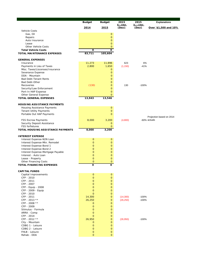|                                                                   | <b>Budget</b>       | <b>Budget</b>                          | 2015                        | 2015                      | <b>Explanations</b>      |
|-------------------------------------------------------------------|---------------------|----------------------------------------|-----------------------------|---------------------------|--------------------------|
|                                                                   | <u> 2014 </u>       | 2015                                   | <u>\$ - Incr_</u><br>(Decr) | <u>% - Incr</u><br>(Decr) | Over '\$1,500 and 10%    |
| <b>Vehicle Costs</b>                                              |                     |                                        |                             |                           |                          |
| Gas, Oil                                                          |                     | $\mathbf 0$                            |                             |                           |                          |
| Repairs                                                           |                     | $\mathbf{O}$                           |                             |                           |                          |
| Auto Insurance                                                    |                     | $\mathbf{O}$                           |                             |                           |                          |
| Lease                                                             |                     | $\mathbf 0$                            |                             |                           |                          |
| <b>Other Vehicle Costs</b>                                        |                     | $\mathbf 0$<br>$\overline{\mathbf{o}}$ |                             |                           |                          |
| <b>Total Vehicle Costs</b><br><b>TOTAL MAINTENANCE EXPENSES</b>   | O<br>83,711         |                                        |                             |                           |                          |
|                                                                   |                     | 105,604                                |                             |                           |                          |
| <b>GENERAL EXPENSES</b>                                           |                     |                                        |                             |                           |                          |
| Insurance                                                         | 11,273              | 11,896                                 | 623                         | 6%                        |                          |
| Payments in Lieu of Taxes                                         | 2,800               | 1,650                                  | (1, 150)                    | $-41%$                    |                          |
| Misc. Taxes/Liscenses/Insurance                                   |                     | O                                      |                             |                           |                          |
| Severance Expense                                                 |                     | $\mathbf 0$                            |                             |                           |                          |
| DDA - Mountain                                                    |                     | $\mathbf 0$                            |                             |                           |                          |
| <b>Bad Debt-Tenant Rents</b><br><b>Bad Debt-Other</b>             |                     | $\mathbf{O}$<br>$\mathbf 0$            |                             |                           |                          |
| Recoveries                                                        | (130)               | $\mathbf 0$                            | 130                         | $-100%$                   |                          |
| Security/Law Enforcement                                          |                     | $\mathbf 0$                            |                             |                           |                          |
| Port-In HAP Expense                                               |                     | $\mathbf 0$                            |                             |                           |                          |
| Other General Expense                                             |                     | $\mathbf{O}$                           |                             |                           |                          |
| <b>TOTAL GENERAL EXPENSES</b>                                     | 13,943              | 13,546                                 |                             |                           |                          |
|                                                                   |                     |                                        |                             |                           |                          |
| <b>HOUSING ASSISTANCE PAYMENTS</b><br>Housing Assistance Payments |                     | $\mathsf{O}\xspace$                    |                             |                           |                          |
| <b>Tenant Utility Payments</b>                                    |                     | $\mathbf 0$                            |                             |                           |                          |
| Portable Out HAP Payments                                         |                     | $\mathbf 0$                            |                             |                           |                          |
|                                                                   |                     |                                        |                             |                           | Projection based on 2014 |
| <b>FSS Escrow Payments</b>                                        | 8,000               | 3,200                                  | (4,800)                     |                           | -60% actuals             |
| Security Deposit Assistance                                       |                     | $\mathbf 0$                            |                             |                           |                          |
| <b>FSS forfietures</b><br>TOTAL HOUSING ASSISTANCE PAYMENTS       | 8,000               | $\mathbf{O}$<br>3,200                  |                             |                           |                          |
|                                                                   |                     |                                        |                             |                           |                          |
| <b>INTEREST EXPENSE</b>                                           |                     |                                        |                             |                           |                          |
| Interest Expense-N2N Loan                                         | 0                   | $\mathsf{O}\xspace$                    |                             |                           |                          |
| Interest Expense-Mtn. Remodel                                     | 0                   | $\mathbf 0$                            |                             |                           |                          |
| Interest Expense-Bond 1                                           | 0                   | $\mathbf{O}$                           |                             |                           |                          |
| Interest Expense-Bond 2<br>Interest Expense-Mortgage Payable      | $\mathbf{O}$<br>0   | $\mathbf 0$<br>$\mathbf 0$             |                             |                           |                          |
| Interest - Auto Loan                                              | $\overline{O}$      | $\mathbf 0$                            |                             |                           |                          |
| Lease - Property                                                  | $\mathbf 0$         | $\mathbf 0$                            |                             |                           |                          |
| Other Financing Costs                                             | $\overline{O}$      | $\mathbf{O}$                           |                             |                           |                          |
| TOTAL FINANCING EXPENSES                                          | O                   | 0                                      |                             |                           |                          |
|                                                                   |                     |                                        |                             |                           |                          |
| <b>CAPITAL FUNDS</b><br>Capital Improvements                      | $\mathsf{o}$        | $\mathbf{O}$                           |                             |                           |                          |
| CFP - 2010                                                        | $\mathsf{O}\xspace$ | $\mathsf{O}$                           |                             |                           |                          |
| CFP - 2011                                                        | $\mathbf{O}$        | $\mathbf{O}$                           |                             |                           |                          |
| CFP - 2007                                                        | 0                   | $\mathbf{O}$                           |                             |                           |                          |
| CFP - Equip - 2008                                                | 0                   | $\mathbf 0$                            |                             |                           |                          |
| CFP - 2009 - Equip                                                | 0                   | $\mathbf 0$                            |                             |                           |                          |
| CFP - 2010                                                        | $\mathbf{O}$        | $\mathbf{O}$                           |                             |                           |                          |
| CFP - 2011                                                        | 14,300              | $\mathbf 0$                            | (14,300)                    | $-100%$                   |                          |
| CFP - 2013 **                                                     | 26,250              | 0                                      | (26, 250)                   | $-100%$                   |                          |
| CFP - 2008 **<br>CFP - 2009                                       | 0<br>$\mathbf{O}$   | 0<br>$\mathbf 0$                       |                             |                           |                          |
| Stimulus - Formula                                                | $\mathbf 0$         | $\mathbf 0$                            |                             |                           |                          |
| ARRA - Comp                                                       | $\mathbf{O}$        | $\mathsf{O}\xspace$                    |                             |                           |                          |
| CFP - 2014                                                        | 0                   | $\mathbf 0$                            |                             |                           |                          |
| CFP - 2012 **                                                     | 26,950              | $\mathbf 0$                            | (26,950)                    | $-100%$                   |                          |
| City - Mountain                                                   | 0                   | $\mathsf{o}$                           |                             |                           |                          |
| CDBG 1 - Leisure                                                  | $\mathbf 0$         | $\mathbf 0$                            |                             |                           |                          |
| CDBG 2 - Leisure                                                  | 0                   | $\mathbf 0$                            |                             |                           |                          |
| FHLB - Leisure                                                    | 0                   | $\mathsf{o}$                           |                             |                           |                          |
| Rehab - DDA                                                       | 0                   | $\mathsf{o}$                           |                             |                           |                          |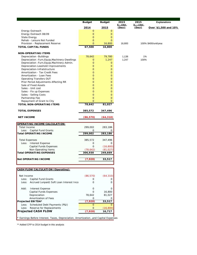|                                                                                    | <b>Budget</b>                 | <b>Budget</b>                | 2015                       | 2015                       | <b>Explanations</b>   |
|------------------------------------------------------------------------------------|-------------------------------|------------------------------|----------------------------|----------------------------|-----------------------|
|                                                                                    | <u> 2014 </u>                 | <u> 2015</u>                 | <u>\$ - Incr</u><br>(Decr) | <u>% - Incr_</u><br>(Decr) | Over '\$1,500 and 10% |
| Energy Outreach                                                                    | $\mathbf 0$                   | $\mathbf{O}$                 |                            |                            |                       |
| Energy Outreach 08/09                                                              | $\mathbf 0$                   | $\mathbf{O}$                 |                            |                            |                       |
| <b>State Energy</b>                                                                | $\mathbf 0$                   | $\mathbf 0$                  |                            |                            |                       |
| Rehab - Leisure Not Funded<br>Provision - Replacement Reserve                      | $\mathbf 0$<br>$\overline{O}$ | $\mathbf{O}$<br>16,800       | 16,800                     |                            | 100% \$400/unit/year  |
| <b>TOTAL CAPITAL FUNDS</b>                                                         | 67,500                        | 16,800                       |                            |                            |                       |
|                                                                                    |                               |                              |                            |                            |                       |
| <b>NON-OPERATING ITEMS</b>                                                         |                               |                              |                            |                            |                       |
| Depreciation - Buildings                                                           | 78,642                        | 79,780                       | 1,138                      | 1%                         |                       |
| Depreciation - Furn, Equip, Machinery-Dwellings                                    | $\mathbf{O}$                  | 1,247                        | 1,247                      | 100%                       |                       |
| Depreciation - Furn, Equip, Machinery-Admin.<br>Depreciation-Leashold Improvements | $\mathbf 0$<br>$\mathbf 0$    | $\mathbf 0$<br>$\mathsf{O}$  |                            |                            |                       |
| Depreciation-Infratstructure                                                       | 0                             | $\mathsf{O}$                 |                            |                            |                       |
| Amortization - Tax Credit Fees                                                     | $\mathbf 0$                   | $\mathsf{O}$                 |                            |                            |                       |
| Amortization - Loan Fees                                                           | $\mathbf 0$                   | $\mathsf{O}$                 |                            |                            |                       |
| Operating Transfers OUT                                                            | $\mathbf 0$                   | $\mathbf 0$                  |                            |                            |                       |
| Prior Period Adjustments Affecting RR                                              | $\mathbf 0$                   | 0                            |                            |                            |                       |
| Sale of Fixed Assets                                                               | $\mathbf 0$                   | $\mathbf{O}$                 |                            |                            |                       |
| Sales - Unit cost                                                                  | $\mathbf 0$                   | $\mathbf 0$                  |                            |                            |                       |
| Sales - Fix up Expenses                                                            | $\mathbf 0$                   | $\mathbf 0$                  |                            |                            |                       |
| Sales - Selling Costs<br>Partnership Fee                                           | $\mathbf 0$<br>$\mathbf 0$    | $\mathsf{O}$<br>$\mathsf{O}$ |                            |                            |                       |
| Repayment of Grant to City                                                         | $\mathbf{O}$                  | $\mathbf{O}$                 |                            |                            |                       |
| <b>TOTAL NON-OPERATING ITEMS</b>                                                   | 78,642                        | 81,027                       |                            |                            |                       |
| <b>TOTAL EXPENSES</b>                                                              | 385,572                       | 347,496                      |                            |                            |                       |
|                                                                                    |                               |                              |                            |                            |                       |
| <b>NET INCOME</b>                                                                  | (86, 570)                     | (64, 310)                    |                            |                            |                       |
| OPERATING INCOME CALCULATION:                                                      |                               |                              |                            |                            |                       |
| <b>Total Income</b>                                                                | 299,002                       | 283,186                      |                            |                            |                       |
| Less: Capital Fund Grants<br><b>Total OPERATING INCOME</b>                         | 0<br>299,002                  | 0                            |                            |                            |                       |
|                                                                                    |                               | 283,186                      |                            |                            |                       |
| <b>Total Expenses</b>                                                              | 385,572                       | 347,496                      |                            |                            |                       |
| Less: Interest Expense                                                             | 0                             | 0                            |                            |                            |                       |
| Capital Funds Expenses                                                             | $\mathbf{O}$                  | (16, 800)                    |                            |                            |                       |
| Non-Operating Items                                                                | (78, 642)                     | (81, 027)                    |                            |                            |                       |
| <b>Total OPERATING EXPENSES</b>                                                    | 306,930                       | 249,669                      |                            |                            |                       |
| <b>Net OPERATING INCOME</b>                                                        | (7, 928)                      | 33,517                       |                            |                            |                       |
|                                                                                    |                               |                              |                            |                            |                       |
| <b>CASH FLOW CALCULATION (Operating):</b>                                          |                               |                              |                            |                            |                       |
|                                                                                    |                               |                              |                            |                            |                       |
| Net Income                                                                         | (86, 570)                     | (64, 310)                    |                            |                            |                       |
| Less: Capital Fund Grants                                                          | 0                             | 0                            |                            |                            |                       |
| Accrued (unpaid) Soft Loan Interest Inco<br>Less:                                  | 0                             | 0                            |                            |                            |                       |
| Add:<br><b>Interest Expense</b>                                                    | 0                             | 0                            |                            |                            |                       |
| Capital Funds Expenses                                                             | 0                             | 16,800                       |                            |                            |                       |
| Depreciation                                                                       | 78,642                        | 81,027                       |                            |                            |                       |
| Amortization of Fees                                                               | 0                             | 0                            |                            |                            |                       |
| Projected EBITDA*                                                                  | (7, 928)                      | 33,517                       |                            |                            |                       |
| Less: Scheduled Debt Payments (P&I)                                                | $\overline{O}$                | $\mathbf{O}$                 |                            |                            |                       |
| Less: Reserve for Replacements                                                     | $\mathsf{O}$                  | (16, 800)                    |                            |                            |                       |
| <b>Projected CASH FLOW</b>                                                         | (7, 928)                      | 16,717                       |                            |                            |                       |
| Earnings Before Interest, Taxes, Depreciation, Amortizationand Capital Expenses    |                               |                              |                            |                            |                       |

\*\* Added CFP to 2014 budget in this analysis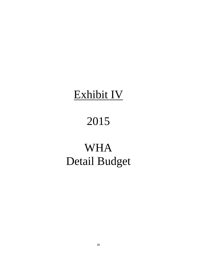### Exhibit IV

## 2015

# WHA Detail Budget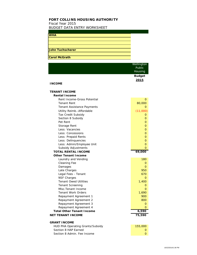#### *FORT COLLINS HOUSING AUTHORITY* Fiscal Year 2015 BUDGET DATA ENTRY WORKSHEET

| <b>WHA</b>           |  |
|----------------------|--|
|                      |  |
|                      |  |
|                      |  |
| John Tuchscherer     |  |
|                      |  |
| <b>Carol McGrath</b> |  |

|                                  | Wellington        |
|----------------------------------|-------------------|
|                                  | Public<br>Housing |
|                                  | <b>Budget</b>     |
|                                  | <u> 2015</u>      |
| <b>INCOME</b>                    |                   |
|                                  |                   |
| <b>TENANT INCOME</b>             |                   |
| <b>Rental Income</b>             |                   |
| Rent Income-Gross Potential      | 0                 |
| <b>Tenant Rent</b>               | 80,000            |
| Tenant Assistance Payments       | 0                 |
| Utility Reimb.-Affordable        | (11,000)          |
| Tax Credit Subsidy               | 0                 |
| Section 8 Subsidy                | 0                 |
| Pet Rent                         | 0                 |
| Storage Rent                     | $\overline{O}$    |
| Less: Vacancies                  | $\mathbf{O}$      |
| Less: Concessions                | $\mathbf{O}$      |
| Less: Prepaid Rents              | $\mathbf{O}$      |
| Less: Delinquencies              | $\overline{O}$    |
| Less: Admin/Employee Unit        | $\overline{O}$    |
| Subsidy Adjustments              | 0                 |
| <b>TOTAL RENTAL INCOME</b>       | 69,000            |
| <b>Other Tenant Income</b>       |                   |
| Laundry and Vending              | 180               |
| Cleaning Fee                     | 0                 |
| Damages                          | 0                 |
| Late Charges                     | 950               |
| Legal Fees - Tenant              | 670               |
| <b>NSF Charges</b>               | 0                 |
| <b>Tenant Owed Utilities</b>     | 1,400             |
| <b>Tenant Screening</b>          | 0                 |
| Misc. Tenant Income              | 0                 |
| <b>Tenant Work Orders</b>        | 1,690             |
| Repayment Agreement 1            | 900               |
| Repayment Agreement 2            | 800               |
| Repayment Agreement 3            | 0                 |
| Repayment Agreement 4            | 0                 |
| <b>Total Other Tenant Income</b> | 6,590             |
| <b>NET TENANT INCOME</b>         | 75,590            |
| <b>GRANT INCOME</b>              |                   |
| HUD PHA Operating Grants/Subsidy | 155,000           |
| Section 8 HAP Earned             | 0                 |
| Section 8 Admin, Fee Income      | 0                 |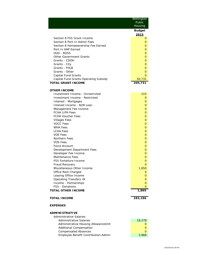|                                                                    | Wellington<br>Public<br>Housing |
|--------------------------------------------------------------------|---------------------------------|
|                                                                    | <b>Budget</b><br>2015           |
| Section 8 FSS Grant Income                                         | 0                               |
| Section 8 Port-In Admin Fees                                       | 0                               |
| Section 8 Homeownership Fee Earned                                 | 0                               |
| Port In HAP Earned                                                 | 0                               |
| <b>HUD - ROSS</b>                                                  | 0                               |
| Other Government Grants                                            | 0                               |
| Grants - CDOH                                                      | 0                               |
| Grants - City                                                      | 0                               |
| Grants - FHLB                                                      | 0                               |
| Grants - Other                                                     | 0                               |
| Capital Fund Grants                                                | O                               |
| Capital Fund Grants-Operating Subsidy                              | 50,731                          |
| <b>TOTAL GRANT INCOME</b>                                          | 205,731                         |
|                                                                    |                                 |
| <b>OTHER INCOME</b>                                                |                                 |
| Investment Income - Unrestricted<br>Investment Income - Restricted | 215                             |
|                                                                    | 0<br>0                          |
| Interest - Mortgages<br>Interest Income - N2N Loan                 | 0                               |
| Management Fee Income                                              | 0                               |
| <b>FCHA LIPH Fees</b>                                              | 0                               |
| <b>FCHA Voucher Fees</b>                                           | 0                               |
| <b>Villages Fees</b>                                               | 0                               |
| <b>VOCC Fees</b>                                                   | 0                               |
| <b>WHA Fees</b>                                                    | 0                               |
| <b>LCHA Fees</b>                                                   | 0                               |
| <b>VOE Fees</b>                                                    | 0                               |
| Northern Fees                                                      | 0                               |
| <b>VOS Fees</b>                                                    | 0                               |
| Force Account                                                      | 0                               |
| Development Department Fees                                        | 0                               |
| Developer Fee Income                                               | 0                               |
| Maintenance Fees                                                   | 0                               |
| FSS Forteiture Income                                              | $\mathbf{O}$                    |
| Fraud Recovery                                                     | 0                               |
| Miscellaneous Other Income                                         | 1,650                           |
| Office Rent Charged                                                | 0                               |
| Leasing Office Income                                              | 0                               |
| <b>Operating Transfers IN</b>                                      | 0                               |
| Income - Partnerships                                              | 0                               |
| <b>FSS - Donations</b>                                             | O                               |
| <b>TOTAL OTHER INCOME</b>                                          | 1,865                           |
| <b>TOTAL INCOME</b>                                                | 283,186                         |
| <b>EXPENSES</b>                                                    |                                 |
| <b>ADMINISTRATIVE</b>                                              |                                 |
| <b>Administrative Salaries</b>                                     |                                 |
| <b>Administrative Salaries</b>                                     | 18,278                          |
| Administrative Housing AllowanceUnit                               | 0                               |
| Additional Compensation                                            | 0                               |
|                                                                    |                                 |

Compensated Absences<br>
Employee Benefit Contribution-Admin 3,868 Employee Benefit Contribution-Admin 3,868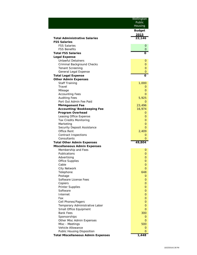|                                            | Wellington     |
|--------------------------------------------|----------------|
|                                            | Public         |
|                                            | Housing        |
|                                            | <b>Budget</b>  |
|                                            | 2015           |
| <b>Total Administrative Salaries</b>       | 22,146         |
| <b>FSS Salaries</b>                        |                |
| <b>FSS Salaries</b>                        | 0              |
| <b>FSS Benefits</b>                        | 0              |
| <b>Total FSS Salaries</b>                  | 0              |
| <b>Legal Expense</b>                       |                |
| <b>Unlawful Detainers</b>                  | 0              |
| Criminal Background Checks                 | 0              |
| <b>Tenant Screening</b>                    | $\overline{O}$ |
| General Legal Expense                      | 0              |
| <b>Total Legal Expense</b>                 | 0              |
| <b>Other Admin Expenses</b>                |                |
| <b>Staff Training</b>                      | 1,000          |
| Travel                                     | 0              |
| Mileage                                    | 0              |
| <b>Accounting Fees</b>                     | O              |
| <b>Auditing Fees</b>                       | 5,925          |
| Port Out Admin Fee Paid                    | O              |
| <b>Management Fee</b>                      | 23,496         |
| Accounting/Bookkeeping Fee                 | 16,974         |
| Program Overhead                           | 0              |
| Leasing Office Expense                     | O              |
|                                            | 0              |
| <b>Tax Credits Monitoring</b>              |                |
| Marketing                                  | 0              |
| Security Deposit Assistance                | O              |
| Office Rent                                | 2,409          |
| <b>Contract Inspections</b><br>Consultants | 0              |
|                                            | O              |
| <b>Total Other Admin Expenses</b>          | 49,804         |
| <b>Miscellaneous Admin Expenses</b>        |                |
| Membership and Fees                        | 0              |
| Publications                               | 0              |
| Advertising                                | 0              |
| <b>Office Supplies</b>                     | 0              |
| Cable                                      | 0              |
| <b>City Network</b>                        | 0              |
| Telephone                                  | 648            |
| Postage                                    | 0              |
| Software License Fees                      | 0              |
| Copiers                                    | O              |
| Printer Supplies                           | 0              |
| Software                                   | O              |
| Internet                                   | 0              |
| Fax                                        | 0              |
| Cell Phones/Pagers                         | 0              |
| Temporary Administrative Labor             | 0              |
| Small Office Equipment                     | 0              |
| <b>Bank Fees</b>                           | 300            |
| Sponsorships                               | 0              |
| Other Misc Admin Expenses                  | 0              |
| Misc - Meetings                            | 500            |
| Vehicle Allowance                          | 0              |
| Public Housing Disposition                 | 0              |
| <b>Total Miscellaneous Admin Expenses</b>  | 1,448          |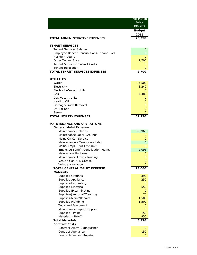|                                             | Wellington    |
|---------------------------------------------|---------------|
|                                             | Public        |
|                                             | Housing       |
|                                             | <b>Budget</b> |
|                                             | 2015          |
| TOTAL ADMINISTRATIVE EXPENSES               | 73,398        |
|                                             |               |
| <b>TENANT SERVICES</b>                      |               |
| <b>Tenant Services Salaries</b>             | 0             |
| Employee Benefit Contributions-Tenant Svcs. | 0             |
| <b>Resident Council</b>                     | 0             |
| Other Tenant Sycs.                          | 2,700         |
| <b>Tenant Services Contract Costs</b>       |               |
| <b>Tenant Relocation</b>                    | 0<br>$\Omega$ |
|                                             |               |
| <b>TOTAL TENANT SERVICES EXPENSES</b>       | 2,700         |
|                                             |               |
| <b>UTILITIES</b><br>Water                   |               |
|                                             | 35,500        |
| Electricity                                 | 8,240         |
| <b>Electricity-Vacant Units</b>             | 0             |
| Gas                                         | 7,480         |
| <b>Gas-Vacant Units</b>                     | 0             |
| <b>Heating Oil</b>                          | 0             |
| Garbage/Trash Removal                       | 0             |
| Do Not Use                                  | $\mathbf{O}$  |
| Sewer                                       | 0             |
| <b>TOTAL UTILITY EXPENSES</b>               | 51,220        |
|                                             |               |
| <b>MAINTENANCE AND OPERATIONS</b>           |               |
| <b>General Maint Expense</b>                |               |
| Maintenance Salaries                        | 10,966        |
| Maintenance Labor-Grounds                   | 0             |
| Maint-On Call Service                       | 0             |
| Maintenance - Temporary Labor               | 0             |
| Maint. Empl. Rent Free Unit                 | O             |
| Employee Benefit Contribution-Maint.        | 2,095         |
| Maintenace Uniforms                         | 0             |
| Maintenance Travel/Training                 | 0             |
| Vehicle Gas, Oil, Grease                    | 0             |
| Vehicle allowance                           | 0             |
| TOTAL GENERAL MAINT EXPENSE                 | 13,060        |
| <b>Materials</b>                            |               |
| Supplies-Grounds                            | 392           |
| Supplies-Appliance                          | 250           |
| Supplies-Decorating                         | 0             |
| Supplies-Electrical                         | 550           |
| Supplies-Exterminating                      | 9             |
| Supplies-Janitorial/Cleaning                | 75            |
| Supplies-Maint/Repairs                      | 1,500         |
| Supplies-Plumbing                           | 1,500         |
| Tools and Equipment                         | 0             |
| Maintenance Paper/Supplies                  | 0             |
| Supplies - Paint                            | 150           |
| Materials - HVAC                            | 950           |
| <b>Total Materials</b>                      | 5,376         |
| <b>Contract Costs</b>                       |               |
| Contract-Alarm/Extinguisher                 | 0             |
| Contract-Appliance                          | 150           |
| <b>Contract-Building Repairs</b>            | 0             |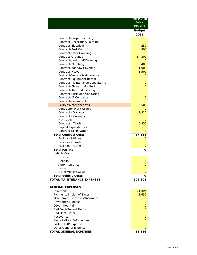|                                                        | Wellington     |
|--------------------------------------------------------|----------------|
|                                                        | <b>Public</b>  |
|                                                        | <b>Housing</b> |
|                                                        | <b>Budget</b>  |
|                                                        | 2015           |
| Contract-Carpet Cleaning                               | 0              |
| Contract-Decorating/Painting                           | $\mathbf{O}$   |
| Contract-Electrical                                    | 250            |
| Contract-Pest Control                                  | 800            |
| Contract-Floor Covering                                | 0              |
| Contract-Grounds                                       | 34,300         |
| Contract-Janitorial/Cleaning                           | 0              |
| Contract-Plumbing                                      | 3,400          |
| Contract-Window Covering                               | 1,000          |
| Contract-HVAC                                          | 3,500          |
| Contract-Vehicle Maintenance                           | 0              |
| Contract-Equipment Rental                              | 0              |
| Contract-Maintenance Consultants                       | 0              |
| Contract-Elevator Monitoring                           | 0              |
| Contract-Alarm Monitoring                              | 0              |
| Contract-Sprinkler Monitoring                          | $\mathbf{O}$   |
| Contract-IT Contracts                                  | 0              |
| Contract-Consultants                                   | 0              |
| <b>FCHA Maintenance WO</b>                             | 35,500         |
| <b>Contractor Work Orders</b>                          | 0              |
| Contract - Vacancy                                     | 2,916          |
| Contract - Casualty                                    | 0              |
| <b>HOA Dues</b>                                        | 0              |
| Contract - Trash                                       | 5,352          |
| <b>Capital Expenditures</b>                            | $\mathbf{O}$   |
| Contract Costs-Other                                   | O              |
| <b>Total Contract Costs</b>                            | 87,168         |
| Facility - Utilities                                   | 0              |
| Facilities - Trash                                     | $\mathbf{O}$   |
| Facilities - Other                                     | 0              |
| <b>Total Facility</b>                                  | O              |
| <b>Vehicle Costs</b>                                   |                |
| Gas, Oil                                               | 0              |
| Repairs                                                | 0              |
| Auto Insurance                                         | 0              |
| Lease                                                  | 0              |
| <b>Other Vehicle Costs</b>                             | 0              |
| <b>Total Vehicle Costs</b>                             | O              |
| <b>TOTAL MAINTENANCE EXPENSES</b>                      | 105,604        |
|                                                        |                |
| <b>GENERAL EXPENSES</b><br>Insurance                   |                |
|                                                        | 11,896         |
| Payments in Lieu of Taxes                              | 1,650          |
| Misc. Taxes/Liscenses/Insurance                        | 0              |
| Severance Expense<br>DDA - Mountain                    | 0              |
| <b>Bad Debt-Tenant Rents</b>                           | O              |
|                                                        | 0              |
| <b>Bad Debt-Other</b>                                  | 0              |
| Recoveries                                             | 0              |
| Security/Law Enforcement                               | 0              |
| Port-In HAP Expense                                    | 0<br>0         |
| Other General Expense<br><b>TOTAL GENERAL EXPENSES</b> |                |
|                                                        | 13,546         |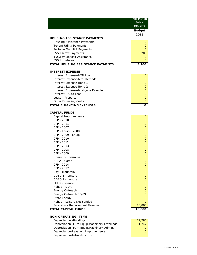| Housing<br><b>Budget</b><br>2015<br><b>HOUSING ASSISTANCE PAYMENTS</b><br>Housing Assistance Payments<br>0<br><b>Tenant Utility Payments</b><br>0<br>Portable Out HAP Payments<br>0<br><b>FSS Escrow Payments</b><br>3,200<br>Security Deposit Assistance<br>0<br><b>FSS forfietures</b><br>0<br>TOTAL HOUSING ASSISTANCE PAYMENTS<br>3,200<br><b>INTEREST EXPENSE</b><br>Interest Expense-N2N Loan<br>0<br>Interest Expense-Mtn. Remodel<br>0<br>Interest Expense-Bond 1<br>0<br>Interest Expense-Bond 2<br>0<br>Interest Expense-Mortgage Payable<br>0<br>Interest - Auto Loan<br>0<br>Lease - Property<br>0<br><b>Other Financing Costs</b><br>0<br><b>TOTAL FINANCING EXPENSES</b><br>0<br><b>CAPITAL FUNDS</b><br>Capital Improvements<br>0<br>CFP - 2010<br>0<br>CFP - 2011<br>0<br>CFP - 2007<br>0<br>CFP - Equip - 2008<br>0<br>CFP - 2009 - Equip<br>$\overline{O}$<br>CFP - 2010<br>0<br>CFP - 2011<br>0<br>CFP - 2013<br>0<br>CFP - 2008<br>0<br>CFP - 2009<br>0<br>Stimulus - Formula<br>0<br>ARRA - Comp<br>0<br>CFP - 2014<br>0<br>CFP - 2012<br>0<br>City - Mountain<br>0<br>CDBG 1 - Leisure<br>0<br>CDBG 2 - Leisure<br>O<br><b>FHLB - Leisure</b><br>$\mathbf{O}$<br>Rehab - DDA<br>0<br>Energy Outreach<br>0<br>Energy Outreach 08/09<br>0<br><b>State Energy</b><br>0<br>Rehab - Leisure Not Funded<br>0<br>Provision - Replacement Reserve<br>16,800<br><b>TOTAL CAPITAL FUNDS</b><br>16,800<br><b>NON-OPERATING ITEMS</b><br>Depreciation - Buildings<br>79,780<br>Depreciation - Furn, Equip, Machinery-Dwellings<br>1,247<br>Depreciation -Furn, Equip, Machinery-Admin.<br>0<br>Depreciation-Leashold Improvements<br>0<br>Depreciation-Infratstructure<br>0 | Wellington |
|---------------------------------------------------------------------------------------------------------------------------------------------------------------------------------------------------------------------------------------------------------------------------------------------------------------------------------------------------------------------------------------------------------------------------------------------------------------------------------------------------------------------------------------------------------------------------------------------------------------------------------------------------------------------------------------------------------------------------------------------------------------------------------------------------------------------------------------------------------------------------------------------------------------------------------------------------------------------------------------------------------------------------------------------------------------------------------------------------------------------------------------------------------------------------------------------------------------------------------------------------------------------------------------------------------------------------------------------------------------------------------------------------------------------------------------------------------------------------------------------------------------------------------------------------------------------------------------------------------------------------------------------------------------------------------------|------------|
|                                                                                                                                                                                                                                                                                                                                                                                                                                                                                                                                                                                                                                                                                                                                                                                                                                                                                                                                                                                                                                                                                                                                                                                                                                                                                                                                                                                                                                                                                                                                                                                                                                                                                       | Public     |
|                                                                                                                                                                                                                                                                                                                                                                                                                                                                                                                                                                                                                                                                                                                                                                                                                                                                                                                                                                                                                                                                                                                                                                                                                                                                                                                                                                                                                                                                                                                                                                                                                                                                                       |            |
|                                                                                                                                                                                                                                                                                                                                                                                                                                                                                                                                                                                                                                                                                                                                                                                                                                                                                                                                                                                                                                                                                                                                                                                                                                                                                                                                                                                                                                                                                                                                                                                                                                                                                       |            |
|                                                                                                                                                                                                                                                                                                                                                                                                                                                                                                                                                                                                                                                                                                                                                                                                                                                                                                                                                                                                                                                                                                                                                                                                                                                                                                                                                                                                                                                                                                                                                                                                                                                                                       |            |
|                                                                                                                                                                                                                                                                                                                                                                                                                                                                                                                                                                                                                                                                                                                                                                                                                                                                                                                                                                                                                                                                                                                                                                                                                                                                                                                                                                                                                                                                                                                                                                                                                                                                                       |            |
|                                                                                                                                                                                                                                                                                                                                                                                                                                                                                                                                                                                                                                                                                                                                                                                                                                                                                                                                                                                                                                                                                                                                                                                                                                                                                                                                                                                                                                                                                                                                                                                                                                                                                       |            |
|                                                                                                                                                                                                                                                                                                                                                                                                                                                                                                                                                                                                                                                                                                                                                                                                                                                                                                                                                                                                                                                                                                                                                                                                                                                                                                                                                                                                                                                                                                                                                                                                                                                                                       |            |
|                                                                                                                                                                                                                                                                                                                                                                                                                                                                                                                                                                                                                                                                                                                                                                                                                                                                                                                                                                                                                                                                                                                                                                                                                                                                                                                                                                                                                                                                                                                                                                                                                                                                                       |            |
|                                                                                                                                                                                                                                                                                                                                                                                                                                                                                                                                                                                                                                                                                                                                                                                                                                                                                                                                                                                                                                                                                                                                                                                                                                                                                                                                                                                                                                                                                                                                                                                                                                                                                       |            |
|                                                                                                                                                                                                                                                                                                                                                                                                                                                                                                                                                                                                                                                                                                                                                                                                                                                                                                                                                                                                                                                                                                                                                                                                                                                                                                                                                                                                                                                                                                                                                                                                                                                                                       |            |
|                                                                                                                                                                                                                                                                                                                                                                                                                                                                                                                                                                                                                                                                                                                                                                                                                                                                                                                                                                                                                                                                                                                                                                                                                                                                                                                                                                                                                                                                                                                                                                                                                                                                                       |            |
|                                                                                                                                                                                                                                                                                                                                                                                                                                                                                                                                                                                                                                                                                                                                                                                                                                                                                                                                                                                                                                                                                                                                                                                                                                                                                                                                                                                                                                                                                                                                                                                                                                                                                       |            |
|                                                                                                                                                                                                                                                                                                                                                                                                                                                                                                                                                                                                                                                                                                                                                                                                                                                                                                                                                                                                                                                                                                                                                                                                                                                                                                                                                                                                                                                                                                                                                                                                                                                                                       |            |
|                                                                                                                                                                                                                                                                                                                                                                                                                                                                                                                                                                                                                                                                                                                                                                                                                                                                                                                                                                                                                                                                                                                                                                                                                                                                                                                                                                                                                                                                                                                                                                                                                                                                                       |            |
|                                                                                                                                                                                                                                                                                                                                                                                                                                                                                                                                                                                                                                                                                                                                                                                                                                                                                                                                                                                                                                                                                                                                                                                                                                                                                                                                                                                                                                                                                                                                                                                                                                                                                       |            |
|                                                                                                                                                                                                                                                                                                                                                                                                                                                                                                                                                                                                                                                                                                                                                                                                                                                                                                                                                                                                                                                                                                                                                                                                                                                                                                                                                                                                                                                                                                                                                                                                                                                                                       |            |
|                                                                                                                                                                                                                                                                                                                                                                                                                                                                                                                                                                                                                                                                                                                                                                                                                                                                                                                                                                                                                                                                                                                                                                                                                                                                                                                                                                                                                                                                                                                                                                                                                                                                                       |            |
|                                                                                                                                                                                                                                                                                                                                                                                                                                                                                                                                                                                                                                                                                                                                                                                                                                                                                                                                                                                                                                                                                                                                                                                                                                                                                                                                                                                                                                                                                                                                                                                                                                                                                       |            |
|                                                                                                                                                                                                                                                                                                                                                                                                                                                                                                                                                                                                                                                                                                                                                                                                                                                                                                                                                                                                                                                                                                                                                                                                                                                                                                                                                                                                                                                                                                                                                                                                                                                                                       |            |
|                                                                                                                                                                                                                                                                                                                                                                                                                                                                                                                                                                                                                                                                                                                                                                                                                                                                                                                                                                                                                                                                                                                                                                                                                                                                                                                                                                                                                                                                                                                                                                                                                                                                                       |            |
|                                                                                                                                                                                                                                                                                                                                                                                                                                                                                                                                                                                                                                                                                                                                                                                                                                                                                                                                                                                                                                                                                                                                                                                                                                                                                                                                                                                                                                                                                                                                                                                                                                                                                       |            |
|                                                                                                                                                                                                                                                                                                                                                                                                                                                                                                                                                                                                                                                                                                                                                                                                                                                                                                                                                                                                                                                                                                                                                                                                                                                                                                                                                                                                                                                                                                                                                                                                                                                                                       |            |
|                                                                                                                                                                                                                                                                                                                                                                                                                                                                                                                                                                                                                                                                                                                                                                                                                                                                                                                                                                                                                                                                                                                                                                                                                                                                                                                                                                                                                                                                                                                                                                                                                                                                                       |            |
|                                                                                                                                                                                                                                                                                                                                                                                                                                                                                                                                                                                                                                                                                                                                                                                                                                                                                                                                                                                                                                                                                                                                                                                                                                                                                                                                                                                                                                                                                                                                                                                                                                                                                       |            |
|                                                                                                                                                                                                                                                                                                                                                                                                                                                                                                                                                                                                                                                                                                                                                                                                                                                                                                                                                                                                                                                                                                                                                                                                                                                                                                                                                                                                                                                                                                                                                                                                                                                                                       |            |
|                                                                                                                                                                                                                                                                                                                                                                                                                                                                                                                                                                                                                                                                                                                                                                                                                                                                                                                                                                                                                                                                                                                                                                                                                                                                                                                                                                                                                                                                                                                                                                                                                                                                                       |            |
|                                                                                                                                                                                                                                                                                                                                                                                                                                                                                                                                                                                                                                                                                                                                                                                                                                                                                                                                                                                                                                                                                                                                                                                                                                                                                                                                                                                                                                                                                                                                                                                                                                                                                       |            |
|                                                                                                                                                                                                                                                                                                                                                                                                                                                                                                                                                                                                                                                                                                                                                                                                                                                                                                                                                                                                                                                                                                                                                                                                                                                                                                                                                                                                                                                                                                                                                                                                                                                                                       |            |
|                                                                                                                                                                                                                                                                                                                                                                                                                                                                                                                                                                                                                                                                                                                                                                                                                                                                                                                                                                                                                                                                                                                                                                                                                                                                                                                                                                                                                                                                                                                                                                                                                                                                                       |            |
|                                                                                                                                                                                                                                                                                                                                                                                                                                                                                                                                                                                                                                                                                                                                                                                                                                                                                                                                                                                                                                                                                                                                                                                                                                                                                                                                                                                                                                                                                                                                                                                                                                                                                       |            |
|                                                                                                                                                                                                                                                                                                                                                                                                                                                                                                                                                                                                                                                                                                                                                                                                                                                                                                                                                                                                                                                                                                                                                                                                                                                                                                                                                                                                                                                                                                                                                                                                                                                                                       |            |
|                                                                                                                                                                                                                                                                                                                                                                                                                                                                                                                                                                                                                                                                                                                                                                                                                                                                                                                                                                                                                                                                                                                                                                                                                                                                                                                                                                                                                                                                                                                                                                                                                                                                                       |            |
|                                                                                                                                                                                                                                                                                                                                                                                                                                                                                                                                                                                                                                                                                                                                                                                                                                                                                                                                                                                                                                                                                                                                                                                                                                                                                                                                                                                                                                                                                                                                                                                                                                                                                       |            |
|                                                                                                                                                                                                                                                                                                                                                                                                                                                                                                                                                                                                                                                                                                                                                                                                                                                                                                                                                                                                                                                                                                                                                                                                                                                                                                                                                                                                                                                                                                                                                                                                                                                                                       |            |
|                                                                                                                                                                                                                                                                                                                                                                                                                                                                                                                                                                                                                                                                                                                                                                                                                                                                                                                                                                                                                                                                                                                                                                                                                                                                                                                                                                                                                                                                                                                                                                                                                                                                                       |            |
|                                                                                                                                                                                                                                                                                                                                                                                                                                                                                                                                                                                                                                                                                                                                                                                                                                                                                                                                                                                                                                                                                                                                                                                                                                                                                                                                                                                                                                                                                                                                                                                                                                                                                       |            |
|                                                                                                                                                                                                                                                                                                                                                                                                                                                                                                                                                                                                                                                                                                                                                                                                                                                                                                                                                                                                                                                                                                                                                                                                                                                                                                                                                                                                                                                                                                                                                                                                                                                                                       |            |
|                                                                                                                                                                                                                                                                                                                                                                                                                                                                                                                                                                                                                                                                                                                                                                                                                                                                                                                                                                                                                                                                                                                                                                                                                                                                                                                                                                                                                                                                                                                                                                                                                                                                                       |            |
|                                                                                                                                                                                                                                                                                                                                                                                                                                                                                                                                                                                                                                                                                                                                                                                                                                                                                                                                                                                                                                                                                                                                                                                                                                                                                                                                                                                                                                                                                                                                                                                                                                                                                       |            |
|                                                                                                                                                                                                                                                                                                                                                                                                                                                                                                                                                                                                                                                                                                                                                                                                                                                                                                                                                                                                                                                                                                                                                                                                                                                                                                                                                                                                                                                                                                                                                                                                                                                                                       |            |
|                                                                                                                                                                                                                                                                                                                                                                                                                                                                                                                                                                                                                                                                                                                                                                                                                                                                                                                                                                                                                                                                                                                                                                                                                                                                                                                                                                                                                                                                                                                                                                                                                                                                                       |            |
|                                                                                                                                                                                                                                                                                                                                                                                                                                                                                                                                                                                                                                                                                                                                                                                                                                                                                                                                                                                                                                                                                                                                                                                                                                                                                                                                                                                                                                                                                                                                                                                                                                                                                       |            |
|                                                                                                                                                                                                                                                                                                                                                                                                                                                                                                                                                                                                                                                                                                                                                                                                                                                                                                                                                                                                                                                                                                                                                                                                                                                                                                                                                                                                                                                                                                                                                                                                                                                                                       |            |
|                                                                                                                                                                                                                                                                                                                                                                                                                                                                                                                                                                                                                                                                                                                                                                                                                                                                                                                                                                                                                                                                                                                                                                                                                                                                                                                                                                                                                                                                                                                                                                                                                                                                                       |            |
|                                                                                                                                                                                                                                                                                                                                                                                                                                                                                                                                                                                                                                                                                                                                                                                                                                                                                                                                                                                                                                                                                                                                                                                                                                                                                                                                                                                                                                                                                                                                                                                                                                                                                       |            |
|                                                                                                                                                                                                                                                                                                                                                                                                                                                                                                                                                                                                                                                                                                                                                                                                                                                                                                                                                                                                                                                                                                                                                                                                                                                                                                                                                                                                                                                                                                                                                                                                                                                                                       |            |
|                                                                                                                                                                                                                                                                                                                                                                                                                                                                                                                                                                                                                                                                                                                                                                                                                                                                                                                                                                                                                                                                                                                                                                                                                                                                                                                                                                                                                                                                                                                                                                                                                                                                                       |            |
|                                                                                                                                                                                                                                                                                                                                                                                                                                                                                                                                                                                                                                                                                                                                                                                                                                                                                                                                                                                                                                                                                                                                                                                                                                                                                                                                                                                                                                                                                                                                                                                                                                                                                       |            |
|                                                                                                                                                                                                                                                                                                                                                                                                                                                                                                                                                                                                                                                                                                                                                                                                                                                                                                                                                                                                                                                                                                                                                                                                                                                                                                                                                                                                                                                                                                                                                                                                                                                                                       |            |
|                                                                                                                                                                                                                                                                                                                                                                                                                                                                                                                                                                                                                                                                                                                                                                                                                                                                                                                                                                                                                                                                                                                                                                                                                                                                                                                                                                                                                                                                                                                                                                                                                                                                                       |            |
|                                                                                                                                                                                                                                                                                                                                                                                                                                                                                                                                                                                                                                                                                                                                                                                                                                                                                                                                                                                                                                                                                                                                                                                                                                                                                                                                                                                                                                                                                                                                                                                                                                                                                       |            |
|                                                                                                                                                                                                                                                                                                                                                                                                                                                                                                                                                                                                                                                                                                                                                                                                                                                                                                                                                                                                                                                                                                                                                                                                                                                                                                                                                                                                                                                                                                                                                                                                                                                                                       |            |
|                                                                                                                                                                                                                                                                                                                                                                                                                                                                                                                                                                                                                                                                                                                                                                                                                                                                                                                                                                                                                                                                                                                                                                                                                                                                                                                                                                                                                                                                                                                                                                                                                                                                                       |            |
|                                                                                                                                                                                                                                                                                                                                                                                                                                                                                                                                                                                                                                                                                                                                                                                                                                                                                                                                                                                                                                                                                                                                                                                                                                                                                                                                                                                                                                                                                                                                                                                                                                                                                       |            |
|                                                                                                                                                                                                                                                                                                                                                                                                                                                                                                                                                                                                                                                                                                                                                                                                                                                                                                                                                                                                                                                                                                                                                                                                                                                                                                                                                                                                                                                                                                                                                                                                                                                                                       |            |
|                                                                                                                                                                                                                                                                                                                                                                                                                                                                                                                                                                                                                                                                                                                                                                                                                                                                                                                                                                                                                                                                                                                                                                                                                                                                                                                                                                                                                                                                                                                                                                                                                                                                                       |            |
|                                                                                                                                                                                                                                                                                                                                                                                                                                                                                                                                                                                                                                                                                                                                                                                                                                                                                                                                                                                                                                                                                                                                                                                                                                                                                                                                                                                                                                                                                                                                                                                                                                                                                       |            |
|                                                                                                                                                                                                                                                                                                                                                                                                                                                                                                                                                                                                                                                                                                                                                                                                                                                                                                                                                                                                                                                                                                                                                                                                                                                                                                                                                                                                                                                                                                                                                                                                                                                                                       |            |
|                                                                                                                                                                                                                                                                                                                                                                                                                                                                                                                                                                                                                                                                                                                                                                                                                                                                                                                                                                                                                                                                                                                                                                                                                                                                                                                                                                                                                                                                                                                                                                                                                                                                                       |            |
|                                                                                                                                                                                                                                                                                                                                                                                                                                                                                                                                                                                                                                                                                                                                                                                                                                                                                                                                                                                                                                                                                                                                                                                                                                                                                                                                                                                                                                                                                                                                                                                                                                                                                       |            |
|                                                                                                                                                                                                                                                                                                                                                                                                                                                                                                                                                                                                                                                                                                                                                                                                                                                                                                                                                                                                                                                                                                                                                                                                                                                                                                                                                                                                                                                                                                                                                                                                                                                                                       |            |
|                                                                                                                                                                                                                                                                                                                                                                                                                                                                                                                                                                                                                                                                                                                                                                                                                                                                                                                                                                                                                                                                                                                                                                                                                                                                                                                                                                                                                                                                                                                                                                                                                                                                                       |            |